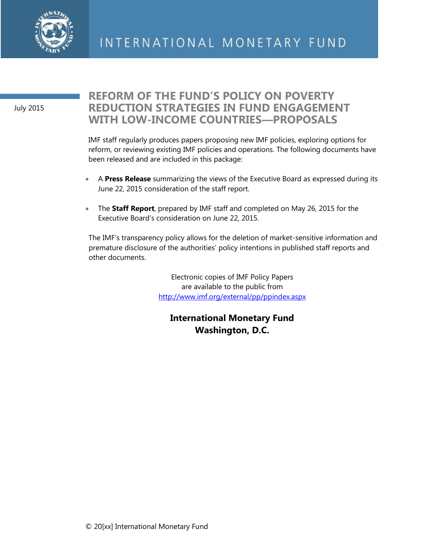

July 2015

## **REFORM OF THE FUND'S POLICY ON POVERTY REDUCTION STRATEGIES IN FUND ENGAGEMENT WITH LOW-INCOME COUNTRIES—PROPOSALS**

IMF staff regularly produces papers proposing new IMF policies, exploring options for reform, or reviewing existing IMF policies and operations. The following documents have been released and are included in this package:

- A **Press Release** summarizing the views of the Executive Board as expressed during its June 22, 2015 consideration of the staff report.
- The **Staff Report**, prepared by IMF staff and completed on May 26, 2015 for the Executive Board's consideration on June 22, 2015.

The IMF's transparency policy allows for the deletion of market-sensitive information and premature disclosure of the authorities' policy intentions in published staff reports and other documents.

> Electronic copies of IMF Policy Papers are available to the public from <http://www.imf.org/external/pp/ppindex.aspx>

**International Monetary Fund Washington, D.C.**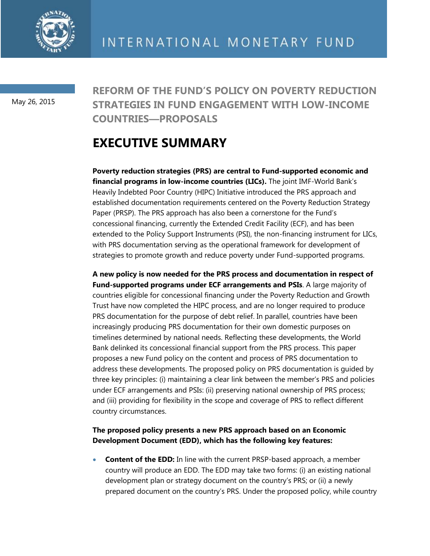

May 26, 2015

**REFORM OF THE FUND'S POLICY ON POVERTY REDUCTION STRATEGIES IN FUND ENGAGEMENT WITH LOW-INCOME COUNTRIES—PROPOSALS**

# **EXECUTIVE SUMMARY**

**Poverty reduction strategies (PRS) are central to Fund-supported economic and financial programs in low-income countries (LICs).** The joint IMF-World Bank's Heavily Indebted Poor Country (HIPC) Initiative introduced the PRS approach and established documentation requirements centered on the Poverty Reduction Strategy Paper (PRSP). The PRS approach has also been a cornerstone for the Fund's concessional financing, currently the Extended Credit Facility (ECF), and has been extended to the Policy Support Instruments (PSI), the non-financing instrument for LICs, with PRS documentation serving as the operational framework for development of strategies to promote growth and reduce poverty under Fund-supported programs.

**A new policy is now needed for the PRS process and documentation in respect of Fund-supported programs under ECF arrangements and PSIs**. A large majority of countries eligible for concessional financing under the Poverty Reduction and Growth Trust have now completed the HIPC process, and are no longer required to produce PRS documentation for the purpose of debt relief. In parallel, countries have been increasingly producing PRS documentation for their own domestic purposes on timelines determined by national needs. Reflecting these developments, the World Bank delinked its concessional financial support from the PRS process. This paper proposes a new Fund policy on the content and process of PRS documentation to address these developments. The proposed policy on PRS documentation is guided by three key principles: (i) maintaining a clear link between the member's PRS and policies under ECF arrangements and PSIs: (ii) preserving national ownership of PRS process; and (iii) providing for flexibility in the scope and coverage of PRS to reflect different country circumstances.

### **The proposed policy presents a new PRS approach based on an Economic Development Document (EDD), which has the following key features:**

**Content of the EDD:** In line with the current PRSP-based approach, a member country will produce an EDD. The EDD may take two forms: (i) an existing national development plan or strategy document on the country's PRS; or (ii) a newly prepared document on the country's PRS. Under the proposed policy, while country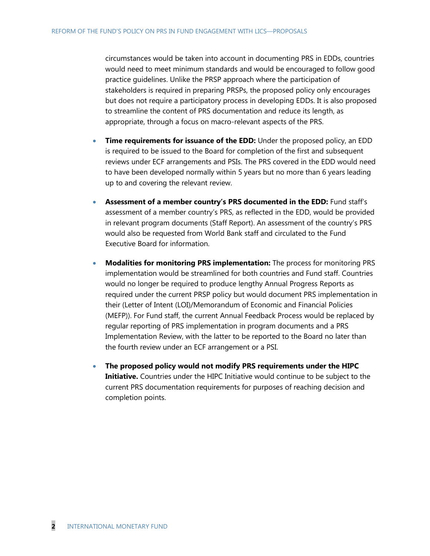circumstances would be taken into account in documenting PRS in EDDs, countries would need to meet minimum standards and would be encouraged to follow good practice guidelines. Unlike the PRSP approach where the participation of stakeholders is required in preparing PRSPs, the proposed policy only encourages but does not require a participatory process in developing EDDs. It is also proposed to streamline the content of PRS documentation and reduce its length, as appropriate, through a focus on macro-relevant aspects of the PRS.

- **Time requirements for issuance of the EDD:** Under the proposed policy, an EDD is required to be issued to the Board for completion of the first and subsequent reviews under ECF arrangements and PSIs. The PRS covered in the EDD would need to have been developed normally within 5 years but no more than 6 years leading up to and covering the relevant review.
- **Assessment of a member country's PRS documented in the EDD:** Fund staff's assessment of a member country's PRS, as reflected in the EDD, would be provided in relevant program documents (Staff Report). An assessment of the country's PRS would also be requested from World Bank staff and circulated to the Fund Executive Board for information.
- **Modalities for monitoring PRS implementation:** The process for monitoring PRS implementation would be streamlined for both countries and Fund staff. Countries would no longer be required to produce lengthy Annual Progress Reports as required under the current PRSP policy but would document PRS implementation in their (Letter of Intent (LOI)/Memorandum of Economic and Financial Policies (MEFP)). For Fund staff, the current Annual Feedback Process would be replaced by regular reporting of PRS implementation in program documents and a PRS Implementation Review, with the latter to be reported to the Board no later than the fourth review under an ECF arrangement or a PSI.
- **The proposed policy would not modify PRS requirements under the HIPC Initiative.** Countries under the HIPC Initiative would continue to be subject to the current PRS documentation requirements for purposes of reaching decision and completion points.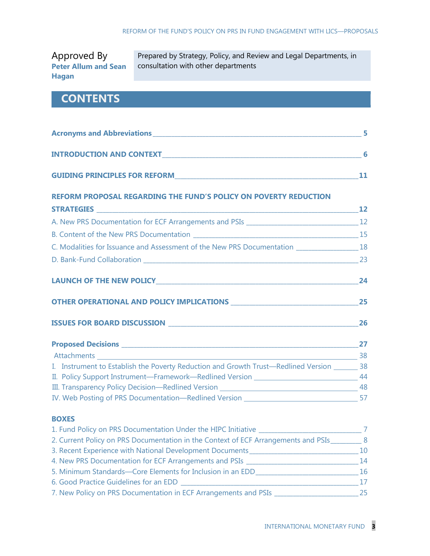Approved By **Peter Allum and Sean Hagan**

Prepared by Strategy, Policy, and Review and Legal Departments, in consultation with other departments

## **CONTENTS**

| <b>REFORM PROPOSAL REGARDING THE FUND'S POLICY ON POVERTY REDUCTION</b>                          |    |
|--------------------------------------------------------------------------------------------------|----|
|                                                                                                  |    |
|                                                                                                  |    |
|                                                                                                  |    |
| C. Modalities for Issuance and Assessment of the New PRS Documentation _______________________18 |    |
|                                                                                                  |    |
|                                                                                                  | 24 |
|                                                                                                  |    |
|                                                                                                  |    |
|                                                                                                  |    |
|                                                                                                  |    |
| I. Instrument to Establish the Poverty Reduction and Growth Trust-Redlined Version ________ 38   |    |
|                                                                                                  |    |
|                                                                                                  |    |
|                                                                                                  |    |
| <b>BOXES</b>                                                                                     |    |
| 1. Fund Policy on PRS Documentation Under the HIPC Initiative ________________________________7  |    |
| 2. Current Policy on PRS Documentation in the Context of ECF Arrangements and PSIs ________ 8    |    |
|                                                                                                  |    |
| 4. New PRS Documentation for ECF Arrangements and PSIs _______________________________14         |    |
|                                                                                                  |    |
|                                                                                                  |    |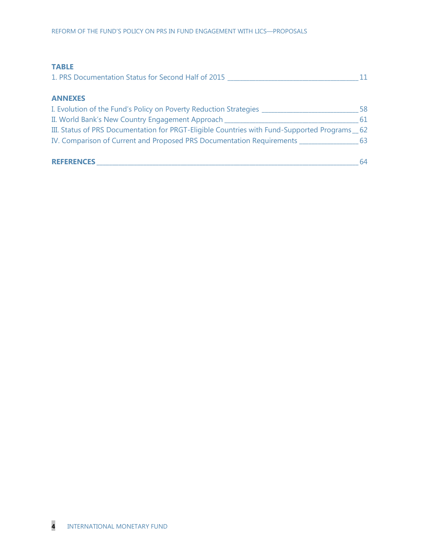#### **TABLE**

| 1. PRS Documentation Status for Second Half of 2015 |  |
|-----------------------------------------------------|--|
|-----------------------------------------------------|--|

#### **ANNEXES**

| <b>REFERENCES</b>                                                                            | 64 |
|----------------------------------------------------------------------------------------------|----|
| IV. Comparison of Current and Proposed PRS Documentation Requirements                        | 63 |
| III. Status of PRS Documentation for PRGT-Eligible Countries with Fund-Supported Programs 62 |    |
| II. World Bank's New Country Engagement Approach                                             | 61 |
| I. Evolution of the Fund's Policy on Poverty Reduction Strategies                            | 58 |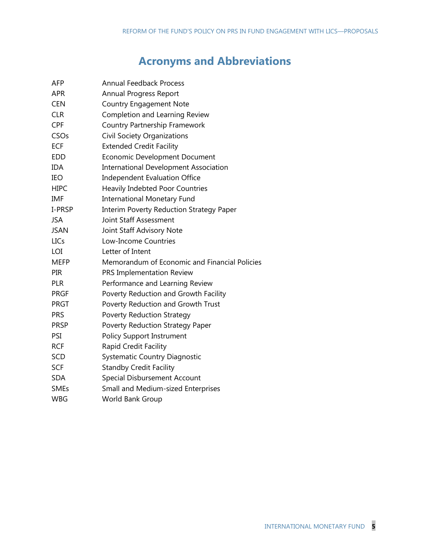## **Acronyms and Abbreviations**

| AFP         | <b>Annual Feedback Process</b>                  |
|-------------|-------------------------------------------------|
| <b>APR</b>  | Annual Progress Report                          |
| <b>CEN</b>  | <b>Country Engagement Note</b>                  |
| <b>CLR</b>  | Completion and Learning Review                  |
| CPF         | Country Partnership Framework                   |
| CSOs        | Civil Society Organizations                     |
| <b>ECF</b>  | <b>Extended Credit Facility</b>                 |
| <b>EDD</b>  | Economic Development Document                   |
| <b>IDA</b>  | <b>International Development Association</b>    |
| IEO         | <b>Independent Evaluation Office</b>            |
| <b>HIPC</b> | <b>Heavily Indebted Poor Countries</b>          |
| <b>IMF</b>  | <b>International Monetary Fund</b>              |
| I-PRSP      | <b>Interim Poverty Reduction Strategy Paper</b> |
| <b>JSA</b>  | <b>Joint Staff Assessment</b>                   |
| <b>JSAN</b> | Joint Staff Advisory Note                       |
| <b>LICs</b> | Low-Income Countries                            |
| LOI         | Letter of Intent                                |
| <b>MEFP</b> | Memorandum of Economic and Financial Policies   |
| <b>PIR</b>  | PRS Implementation Review                       |
| <b>PLR</b>  | Performance and Learning Review                 |
| <b>PRGF</b> | Poverty Reduction and Growth Facility           |
| <b>PRGT</b> | Poverty Reduction and Growth Trust              |
| <b>PRS</b>  | <b>Poverty Reduction Strategy</b>               |
| <b>PRSP</b> | Poverty Reduction Strategy Paper                |
| PSI         | <b>Policy Support Instrument</b>                |
| <b>RCF</b>  | Rapid Credit Facility                           |
| SCD         | Systematic Country Diagnostic                   |
| <b>SCF</b>  | <b>Standby Credit Facility</b>                  |
| <b>SDA</b>  | Special Disbursement Account                    |
| <b>SMEs</b> | Small and Medium-sized Enterprises              |
| WBG         | <b>World Bank Group</b>                         |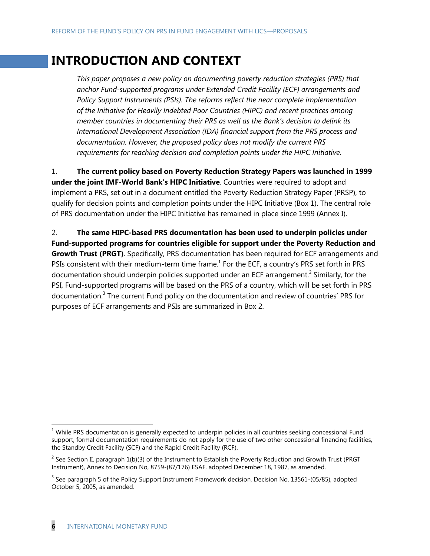## **INTRODUCTION AND CONTEXT**

*This paper proposes a new policy on documenting poverty reduction strategies (PRS) that anchor Fund-supported programs under Extended Credit Facility (ECF) arrangements and Policy Support Instruments (PSIs). The reforms reflect the near complete implementation of the Initiative for Heavily Indebted Poor Countries (HIPC) and recent practices among member countries in documenting their PRS as well as the Bank's decision to delink its International Development Association (IDA) financial support from the PRS process and documentation. However, the proposed policy does not modify the current PRS requirements for reaching decision and completion points under the HIPC Initiative.*

1. **The current policy based on Poverty Reduction Strategy Papers was launched in 1999 under the joint IMF-World Bank's HIPC Initiative**. Countries were required to adopt and implement a PRS, set out in a document entitled the Poverty Reduction Strategy Paper (PRSP), to qualify for decision points and completion points under the HIPC Initiative (Box 1). The central role of PRS documentation under the HIPC Initiative has remained in place since 1999 (Annex I).

2. **The same HIPC-based PRS documentation has been used to underpin policies under Fund-supported programs for countries eligible for support under the Poverty Reduction and Growth Trust (PRGT)**. Specifically, PRS documentation has been required for ECF arrangements and PSIs consistent with their medium-term time frame.<sup>1</sup> For the ECF, a country's PRS set forth in PRS documentation should underpin policies supported under an ECF arrangement.<sup>2</sup> Similarly, for the PSI, Fund-supported programs will be based on the PRS of a country, which will be set forth in PRS documentation.<sup>3</sup> The current Fund policy on the documentation and review of countries' PRS for purposes of ECF arrangements and PSIs are summarized in Box 2.

 $<sup>1</sup>$  While PRS documentation is generally expected to underpin policies in all countries seeking concessional Fund</sup> support, formal documentation requirements do not apply for the use of two other concessional financing facilities, the Standby Credit Facility (SCF) and the Rapid Credit Facility (RCF).

<sup>&</sup>lt;sup>2</sup> See Section II, paragraph 1(b)(3) of the Instrument to Establish the Poverty Reduction and Growth Trust (PRGT Instrument), Annex to Decision No, 8759-(87/176) ESAF, adopted December 18, 1987, as amended.

 $3$  See paragraph 5 of the Policy Support Instrument Framework decision, Decision No. 13561-(05/85), adopted October 5, 2005, as amended.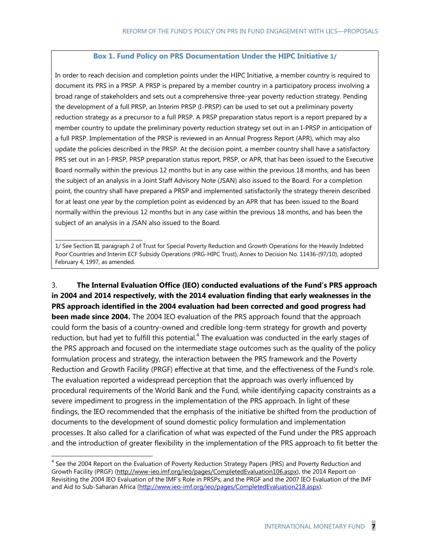#### **Box 1. Fund Policy on PRS Documentation Under the HIPC Initiative 1/**

In order to reach decision and completion points under the HIPC Initiative, a member country is required to document its PRS in a PRSP. A PRSP is prepared by a member country in a participatory process involving a broad range of stakeholders and sets out a comprehensive three-year poverty reduction strategy. Pending the development of a full PRSP, an Interim PRSP (I-PRSP) can be used to set out a preliminary poverty reduction strategy as a precursor to a full PRSP. A PRSP preparation status report is a report prepared by a member country to update the preliminary poverty reduction strategy set out in an I-PRSP in anticipation of a full PRSP. Implementation of the PRSP is reviewed in an Annual Progress Report (APR), which may also update the policies described in the PRSP. At the decision point, a member country shall have a satisfactory PRS set out in an I-PRSP, PRSP preparation status report, PRSP, or APR, that has been issued to the Executive Board normally within the previous 12 months but in any case within the previous 18 months, and has been the subject of an analysis in a Joint Staff Advisory Note (JSAN) also issued to the Board. For a completion point, the country shall have prepared a PRSP and implemented satisfactorily the strategy therein described for at least one year by the completion point as evidenced by an APR that has been issued to the Board normally within the previous 12 months but in any case within the previous 18 months, and has been the subject of an analysis in a JSAN also issued to the Board.

1/ See Section III, paragraph 2 of Trust for Special Poverty Reduction and Growth Operations for the Heavily Indebted Poor Countries and Interim ECF Subsidy Operations (PRG-HIPC Trust), Annex to Decision No. 11436-(97/10), adopted February 4, 1997, as amended.

\_\_\_\_\_\_\_\_\_\_\_\_\_\_\_\_\_\_\_\_\_\_\_\_\_\_\_\_\_\_

 $\overline{a}$ 

3. **The Internal Evaluation Office (IEO) conducted evaluations of the Fund's PRS approach in 2004 and 2014 respectively, with the 2014 evaluation finding that early weaknesses in the PRS approach identified in the 2004 evaluation had been corrected and good progress had been made since 2004.** The 2004 IEO evaluation of the PRS approach found that the approach could form the basis of a country-owned and credible long-term strategy for growth and poverty reduction, but had yet to fulfill this potential.<sup>4</sup> The evaluation was conducted in the early stages of the PRS approach and focused on the intermediate stage outcomes such as the quality of the policy formulation process and strategy, the interaction between the PRS framework and the Poverty Reduction and Growth Facility (PRGF) effective at that time, and the effectiveness of the Fund's role. The evaluation reported a widespread perception that the approach was overly influenced by procedural requirements of the World Bank and the Fund, while identifying capacity constraints as a severe impediment to progress in the implementation of the PRS approach. In light of these findings, the IEO recommended that the emphasis of the initiative be shifted from the production of documents to the development of sound domestic policy formulation and implementation processes. It also called for a clarification of what was expected of the Fund under the PRS approach and the introduction of greater flexibility in the implementation of the PRS approach to fit better the

<sup>&</sup>lt;sup>4</sup> See the 2004 Report on the Evaluation of Poverty Reduction Strategy Papers (PRS) and Poverty Reduction and Growth Facility (PRGF) [\(http://www-ieo.imf.org/ieo/pages/CompletedEvaluation106.aspx\)](http://www-ieo.imf.org/ieo/pages/CompletedEvaluation106.aspx), the 2014 Report on Revisiting the 2004 IEO Evaluation of the IMF's Role in PRSPs, and the PRGF and the 2007 IEO Evaluation of the IMF and Aid to Sub-Saharan Africa [\(http://www.ieo-imf.org/ieo/pages/CompletedEvaluation218.aspx\)](http://www.ieo-imf.org/ieo/pages/CompletedEvaluation218.aspx).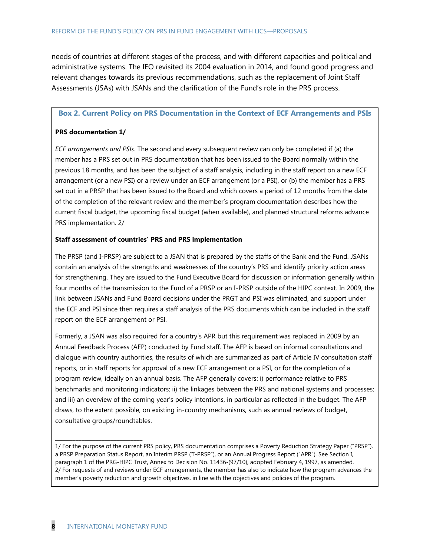needs of countries at different stages of the process, and with different capacities and political and administrative systems. The IEO revisited its 2004 evaluation in 2014, and found good progress and relevant changes towards its previous recommendations, such as the replacement of Joint Staff Assessments (JSAs) with JSANs and the clarification of the Fund's role in the PRS process.

#### **Box 2. Current Policy on PRS Documentation in the Context of ECF Arrangements and PSIs**

#### **PRS documentation 1/**

*ECF arrangements and PSIs*. The second and every subsequent review can only be completed if (a) the member has a PRS set out in PRS documentation that has been issued to the Board normally within the previous 18 months, and has been the subject of a staff analysis, including in the staff report on a new ECF arrangement (or a new PSI) or a review under an ECF arrangement (or a PSI), or (b) the member has a PRS set out in a PRSP that has been issued to the Board and which covers a period of 12 months from the date of the completion of the relevant review and the member's program documentation describes how the current fiscal budget, the upcoming fiscal budget (when available), and planned structural reforms advance PRS implementation. 2/

#### **Staff assessment of countries' PRS and PRS implementation**

The PRSP (and I-PRSP) are subject to a JSAN that is prepared by the staffs of the Bank and the Fund. JSANs contain an analysis of the strengths and weaknesses of the country's PRS and identify priority action areas for strengthening. They are issued to the Fund Executive Board for discussion or information generally within four months of the transmission to the Fund of a PRSP or an I-PRSP outside of the HIPC context. In 2009, the link between JSANs and Fund Board decisions under the PRGT and PSI was eliminated, and support under the ECF and PSI since then requires a staff analysis of the PRS documents which can be included in the staff report on the ECF arrangement or PSI.

Formerly, a JSAN was also required for a country's APR but this requirement was replaced in 2009 by an Annual Feedback Process (AFP) conducted by Fund staff. The AFP is based on informal consultations and dialogue with country authorities, the results of which are summarized as part of Article IV consultation staff reports, or in staff reports for approval of a new ECF arrangement or a PSI, or for the completion of a program review, ideally on an annual basis. The AFP generally covers: i) performance relative to PRS benchmarks and monitoring indicators; ii) the linkages between the PRS and national systems and processes; and iii) an overview of the coming year's policy intentions, in particular as reflected in the budget. The AFP draws, to the extent possible, on existing in-country mechanisms, such as annual reviews of budget, consultative groups/roundtables.

\_\_\_\_\_\_\_\_\_\_\_\_\_\_\_\_\_\_\_\_\_\_\_\_\_\_\_\_\_\_

<sup>1/</sup> For the purpose of the current PRS policy, PRS documentation comprises a Poverty Reduction Strategy Paper ("PRSP"), a PRSP Preparation Status Report, an Interim PRSP ("I-PRSP"), or an Annual Progress Report ("APR"). See Section I, paragraph 1 of the PRG-HIPC Trust, Annex to Decision No. 11436-(97/10), adopted February 4, 1997, as amended. 2/ For requests of and reviews under ECF arrangements, the member has also to indicate how the program advances the member's poverty reduction and growth objectives, in line with the objectives and policies of the program.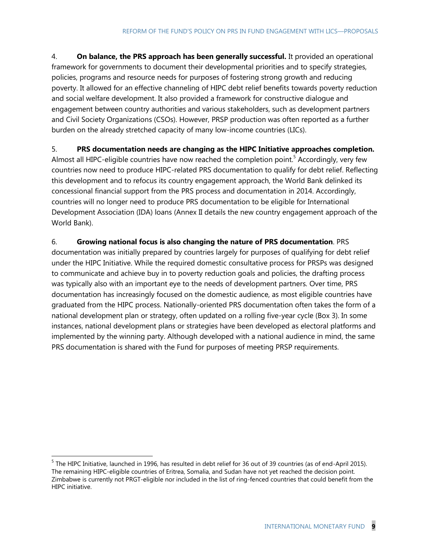4. **On balance, the PRS approach has been generally successful.** It provided an operational framework for governments to document their developmental priorities and to specify strategies, policies, programs and resource needs for purposes of fostering strong growth and reducing poverty. It allowed for an effective channeling of HIPC debt relief benefits towards poverty reduction and social welfare development. It also provided a framework for constructive dialogue and engagement between country authorities and various stakeholders, such as development partners and Civil Society Organizations (CSOs). However, PRSP production was often reported as a further burden on the already stretched capacity of many low-income countries (LICs).

5. **PRS documentation needs are changing as the HIPC Initiative approaches completion.**

Almost all HIPC-eligible countries have now reached the completion point.<sup>5</sup> Accordingly, very few countries now need to produce HIPC-related PRS documentation to qualify for debt relief. Reflecting this development and to refocus its country engagement approach, the World Bank delinked its concessional financial support from the PRS process and documentation in 2014. Accordingly, countries will no longer need to produce PRS documentation to be eligible for International Development Association (IDA) loans (Annex II details the new country engagement approach of the World Bank).

6. **Growing national focus is also changing the nature of PRS documentation**. PRS documentation was initially prepared by countries largely for purposes of qualifying for debt relief under the HIPC Initiative. While the required domestic consultative process for PRSPs was designed to communicate and achieve buy in to poverty reduction goals and policies, the drafting process was typically also with an important eye to the needs of development partners. Over time, PRS documentation has increasingly focused on the domestic audience, as most eligible countries have graduated from the HIPC process. Nationally-oriented PRS documentation often takes the form of a national development plan or strategy, often updated on a rolling five-year cycle (Box 3). In some instances, national development plans or strategies have been developed as electoral platforms and implemented by the winning party. Although developed with a national audience in mind, the same PRS documentation is shared with the Fund for purposes of meeting PRSP requirements.

<sup>&</sup>lt;sup>5</sup> The HIPC Initiative, launched in 1996, has resulted in debt relief for 36 out of 39 countries (as of end-April 2015). The remaining HIPC-eligible countries of Eritrea, Somalia, and Sudan have not yet reached the decision point. Zimbabwe is currently not PRGT-eligible nor included in the list of ring-fenced countries that could benefit from the HIPC initiative.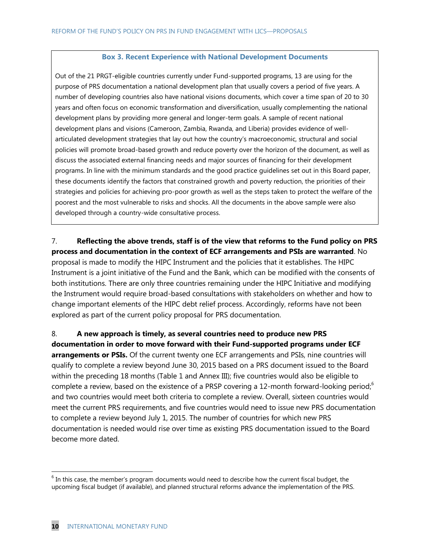#### **Box 3. Recent Experience with National Development Documents**

Out of the 21 PRGT-eligible countries currently under Fund-supported programs, 13 are using for the purpose of PRS documentation a national development plan that usually covers a period of five years. A number of developing countries also have national visions documents, which cover a time span of 20 to 30 years and often focus on economic transformation and diversification, usually complementing the national development plans by providing more general and longer-term goals. A sample of recent national development plans and visions (Cameroon, Zambia, Rwanda, and Liberia) provides evidence of wellarticulated development strategies that lay out how the country's macroeconomic, structural and social policies will promote broad-based growth and reduce poverty over the horizon of the document, as well as discuss the associated external financing needs and major sources of financing for their development programs. In line with the minimum standards and the good practice guidelines set out in this Board paper, these documents identify the factors that constrained growth and poverty reduction, the priorities of their strategies and policies for achieving pro-poor growth as well as the steps taken to protect the welfare of the poorest and the most vulnerable to risks and shocks. All the documents in the above sample were also developed through a country-wide consultative process.

7. **Reflecting the above trends, staff is of the view that reforms to the Fund policy on PRS process and documentation in the context of ECF arrangements and PSIs are warranted**. No proposal is made to modify the HIPC Instrument and the policies that it establishes. The HIPC Instrument is a joint initiative of the Fund and the Bank, which can be modified with the consents of both institutions. There are only three countries remaining under the HIPC Initiative and modifying the Instrument would require broad-based consultations with stakeholders on whether and how to change important elements of the HIPC debt relief process. Accordingly, reforms have not been explored as part of the current policy proposal for PRS documentation.

8. **A new approach is timely, as several countries need to produce new PRS documentation in order to move forward with their Fund-supported programs under ECF**  arrangements or PSIs. Of the current twenty one ECF arrangements and PSIs, nine countries will qualify to complete a review beyond June 30, 2015 based on a PRS document issued to the Board within the preceding 18 months (Table 1 and Annex III); five countries would also be eligible to complete a review, based on the existence of a PRSP covering a 12-month forward-looking period; and two countries would meet both criteria to complete a review. Overall, sixteen countries would meet the current PRS requirements, and five countries would need to issue new PRS documentation to complete a review beyond July 1, 2015. The number of countries for which new PRS documentation is needed would rise over time as existing PRS documentation issued to the Board become more dated.

 $<sup>6</sup>$  In this case, the member's program documents would need to describe how the current fiscal budget, the</sup> upcoming fiscal budget (if available), and planned structural reforms advance the implementation of the PRS.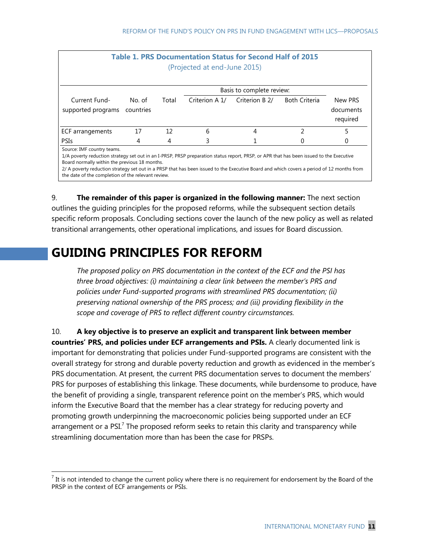| Table 1. PRS Documentation Status for Second Half of 2015<br>(Projected at end-June 2015)                                                                                                                                                                                                                                                                                                                                 |                     |       |                |                |                      |                                  |
|---------------------------------------------------------------------------------------------------------------------------------------------------------------------------------------------------------------------------------------------------------------------------------------------------------------------------------------------------------------------------------------------------------------------------|---------------------|-------|----------------|----------------|----------------------|----------------------------------|
| Basis to complete review:                                                                                                                                                                                                                                                                                                                                                                                                 |                     |       |                |                |                      |                                  |
| Current Fund-<br>supported programs                                                                                                                                                                                                                                                                                                                                                                                       | No. of<br>countries | Total | Criterion A 1/ | Criterion B 2/ | <b>Both Criteria</b> | New PRS<br>documents<br>required |
| ECF arrangements                                                                                                                                                                                                                                                                                                                                                                                                          | 17                  | 12    | 6              | 4              | C                    | 5                                |
| <b>PSIs</b>                                                                                                                                                                                                                                                                                                                                                                                                               | 4                   | 4     | 3              |                |                      | 0                                |
| Source: IMF country teams.<br>1/A poverty reduction strategy set out in an I-PRSP, PRSP preparation status report, PRSP, or APR that has been issued to the Executive<br>Board normally within the previous 18 months.<br>2/ A poverty reduction strategy set out in a PRSP that has been issued to the Executive Board and which covers a period of 12 months from<br>the date of the completion of the relevant review. |                     |       |                |                |                      |                                  |

9. **The remainder of this paper is organized in the following manner:** The next section outlines the guiding principles for the proposed reforms, while the subsequent section details specific reform proposals. Concluding sections cover the launch of the new policy as well as related transitional arrangements, other operational implications, and issues for Board discussion.

## **GUIDING PRINCIPLES FOR REFORM**

 $\overline{a}$ 

*The proposed policy on PRS documentation in the context of the ECF and the PSI has three broad objectives: (i) maintaining a clear link between the member's PRS and policies under Fund-supported programs with streamlined PRS documentation; (ii) preserving national ownership of the PRS process; and (iii) providing flexibility in the scope and coverage of PRS to reflect different country circumstances.*

10. **A key objective is to preserve an explicit and transparent link between member countries' PRS, and policies under ECF arrangements and PSIs.** A clearly documented link is important for demonstrating that policies under Fund-supported programs are consistent with the overall strategy for strong and durable poverty reduction and growth as evidenced in the member's PRS documentation. At present, the current PRS documentation serves to document the members' PRS for purposes of establishing this linkage. These documents, while burdensome to produce, have the benefit of providing a single, transparent reference point on the member's PRS, which would inform the Executive Board that the member has a clear strategy for reducing poverty and promoting growth underpinning the macroeconomic policies being supported under an ECF arrangement or a  $PSI<sup>7</sup>$  The proposed reform seeks to retain this clarity and transparency while streamlining documentation more than has been the case for PRSPs.

 $<sup>7</sup>$  It is not intended to change the current policy where there is no requirement for endorsement by the Board of the</sup> PRSP in the context of ECF arrangements or PSIs.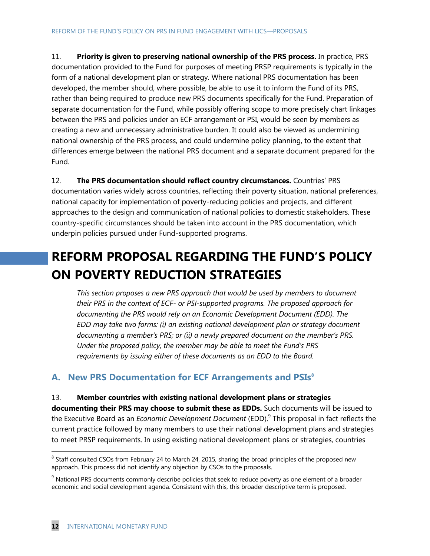11. **Priority is given to preserving national ownership of the PRS process.** In practice, PRS documentation provided to the Fund for purposes of meeting PRSP requirements is typically in the form of a national development plan or strategy. Where national PRS documentation has been developed, the member should, where possible, be able to use it to inform the Fund of its PRS, rather than being required to produce new PRS documents specifically for the Fund. Preparation of separate documentation for the Fund, while possibly offering scope to more precisely chart linkages between the PRS and policies under an ECF arrangement or PSI, would be seen by members as creating a new and unnecessary administrative burden. It could also be viewed as undermining national ownership of the PRS process, and could undermine policy planning, to the extent that differences emerge between the national PRS document and a separate document prepared for the Fund.

12. **The PRS documentation should reflect country circumstances.** Countries' PRS documentation varies widely across countries, reflecting their poverty situation, national preferences, national capacity for implementation of poverty-reducing policies and projects, and different approaches to the design and communication of national policies to domestic stakeholders. These country-specific circumstances should be taken into account in the PRS documentation, which underpin policies pursued under Fund-supported programs.

# **REFORM PROPOSAL REGARDING THE FUND'S POLICY ON POVERTY REDUCTION STRATEGIES**

*This section proposes a new PRS approach that would be used by members to document their PRS in the context of ECF- or PSI-supported programs. The proposed approach for documenting the PRS would rely on an Economic Development Document (EDD). The EDD may take two forms: (i) an existing national development plan or strategy document documenting a member's PRS; or (ii) a newly prepared document on the member's PRS. Under the proposed policy, the member may be able to meet the Fund's PRS requirements by issuing either of these documents as an EDD to the Board.* 

### **A. New PRS Documentation for ECF Arrangements and PSIs<sup>8</sup>**

#### 13. **Member countries with existing national development plans or strategies**

**documenting their PRS may choose to submit these as EDDs.** Such documents will be issued to the Executive Board as an *Economic Development Document* (EDD).<sup>9</sup> This proposal in fact reflects the current practice followed by many members to use their national development plans and strategies to meet PRSP requirements. In using existing national development plans or strategies, countries

 $8$  Staff consulted CSOs from February 24 to March 24, 2015, sharing the broad principles of the proposed new approach. This process did not identify any objection by CSOs to the proposals.

 $9$  National PRS documents commonly describe policies that seek to reduce poverty as one element of a broader economic and social development agenda. Consistent with this, this broader descriptive term is proposed.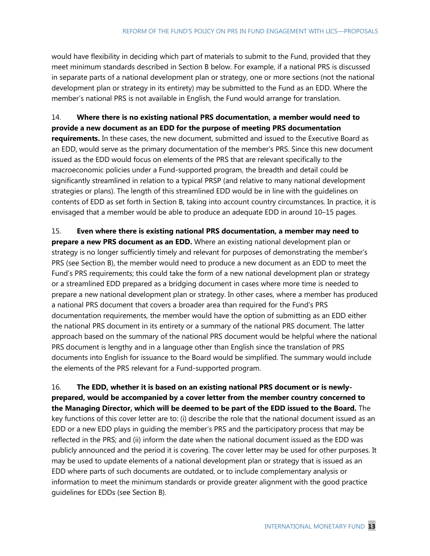would have flexibility in deciding which part of materials to submit to the Fund, provided that they meet minimum standards described in Section B below. For example, if a national PRS is discussed in separate parts of a national development plan or strategy, one or more sections (not the national development plan or strategy in its entirety) may be submitted to the Fund as an EDD. Where the member's national PRS is not available in English, the Fund would arrange for translation.

14. **Where there is no existing national PRS documentation, a member would need to provide a new document as an EDD for the purpose of meeting PRS documentation requirements.** In these cases, the new document, submitted and issued to the Executive Board as an EDD, would serve as the primary documentation of the member's PRS. Since this new document issued as the EDD would focus on elements of the PRS that are relevant specifically to the macroeconomic policies under a Fund-supported program, the breadth and detail could be significantly streamlined in relation to a typical PRSP (and relative to many national development strategies or plans). The length of this streamlined EDD would be in line with the guidelines on contents of EDD as set forth in Section B, taking into account country circumstances. In practice, it is envisaged that a member would be able to produce an adequate EDD in around 10–15 pages.

15. **Even where there is existing national PRS documentation, a member may need to prepare a new PRS document as an EDD.** Where an existing national development plan or strategy is no longer sufficiently timely and relevant for purposes of demonstrating the member's PRS (see Section B), the member would need to produce a new document as an EDD to meet the Fund's PRS requirements; this could take the form of a new national development plan or strategy or a streamlined EDD prepared as a bridging document in cases where more time is needed to prepare a new national development plan or strategy. In other cases, where a member has produced a national PRS document that covers a broader area than required for the Fund's PRS documentation requirements, the member would have the option of submitting as an EDD either the national PRS document in its entirety or a summary of the national PRS document. The latter approach based on the summary of the national PRS document would be helpful where the national PRS document is lengthy and in a language other than English since the translation of PRS documents into English for issuance to the Board would be simplified. The summary would include the elements of the PRS relevant for a Fund-supported program.

16. **The EDD, whether it is based on an existing national PRS document or is newlyprepared, would be accompanied by a cover letter from the member country concerned to the Managing Director, which will be deemed to be part of the EDD issued to the Board.** The key functions of this cover letter are to: (i) describe the role that the national document issued as an EDD or a new EDD plays in guiding the member's PRS and the participatory process that may be reflected in the PRS; and (ii) inform the date when the national document issued as the EDD was publicly announced and the period it is covering. The cover letter may be used for other purposes. It may be used to update elements of a national development plan or strategy that is issued as an EDD where parts of such documents are outdated, or to include complementary analysis or information to meet the minimum standards or provide greater alignment with the good practice guidelines for EDDs (see Section B).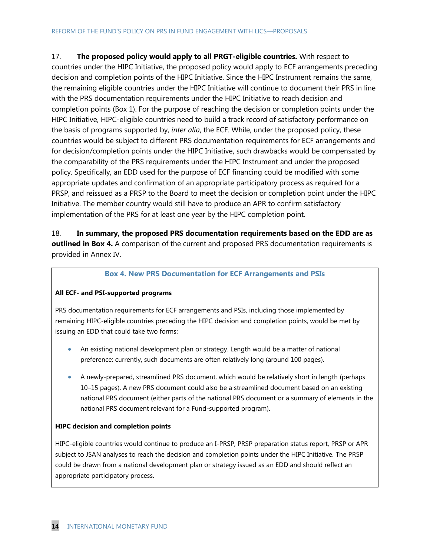17. **The proposed policy would apply to all PRGT-eligible countries.** With respect to countries under the HIPC Initiative, the proposed policy would apply to ECF arrangements preceding decision and completion points of the HIPC Initiative. Since the HIPC Instrument remains the same, the remaining eligible countries under the HIPC Initiative will continue to document their PRS in line with the PRS documentation requirements under the HIPC Initiative to reach decision and completion points (Box 1). For the purpose of reaching the decision or completion points under the HIPC Initiative, HIPC-eligible countries need to build a track record of satisfactory performance on the basis of programs supported by, *inter alia*, the ECF. While, under the proposed policy, these countries would be subject to different PRS documentation requirements for ECF arrangements and for decision/completion points under the HIPC Initiative, such drawbacks would be compensated by the comparability of the PRS requirements under the HIPC Instrument and under the proposed policy. Specifically, an EDD used for the purpose of ECF financing could be modified with some appropriate updates and confirmation of an appropriate participatory process as required for a PRSP, and reissued as a PRSP to the Board to meet the decision or completion point under the HIPC Initiative. The member country would still have to produce an APR to confirm satisfactory implementation of the PRS for at least one year by the HIPC completion point.

18. **In summary, the proposed PRS documentation requirements based on the EDD are as outlined in Box 4.** A comparison of the current and proposed PRS documentation requirements is provided in Annex IV.

#### **Box 4. New PRS Documentation for ECF Arrangements and PSIs**

#### **All ECF- and PSI-supported programs**

PRS documentation requirements for ECF arrangements and PSIs, including those implemented by remaining HIPC-eligible countries preceding the HIPC decision and completion points, would be met by issuing an EDD that could take two forms:

- An existing national development plan or strategy. Length would be a matter of national preference: currently, such documents are often relatively long (around 100 pages).
- A newly-prepared, streamlined PRS document, which would be relatively short in length (perhaps 10–15 pages). A new PRS document could also be a streamlined document based on an existing national PRS document (either parts of the national PRS document or a summary of elements in the national PRS document relevant for a Fund-supported program).

#### **HIPC decision and completion points**

HIPC-eligible countries would continue to produce an I-PRSP, PRSP preparation status report, PRSP or APR subject to JSAN analyses to reach the decision and completion points under the HIPC Initiative. The PRSP could be drawn from a national development plan or strategy issued as an EDD and should reflect an appropriate participatory process.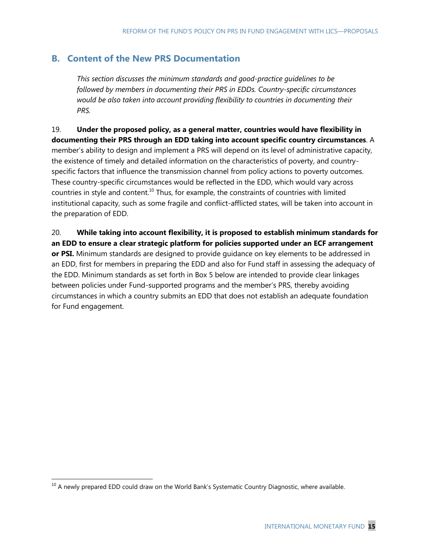### **B. Content of the New PRS Documentation**

*This section discusses the minimum standards and good-practice guidelines to be followed by members in documenting their PRS in EDDs. Country-specific circumstances would be also taken into account providing flexibility to countries in documenting their PRS.*

19. **Under the proposed policy, as a general matter, countries would have flexibility in documenting their PRS through an EDD taking into account specific country circumstances**. A member's ability to design and implement a PRS will depend on its level of administrative capacity, the existence of timely and detailed information on the characteristics of poverty, and countryspecific factors that influence the transmission channel from policy actions to poverty outcomes. These country-specific circumstances would be reflected in the EDD, which would vary across countries in style and content.<sup>10</sup> Thus, for example, the constraints of countries with limited institutional capacity, such as some fragile and conflict-afflicted states, will be taken into account in the preparation of EDD.

20. **While taking into account flexibility, it is proposed to establish minimum standards for an EDD to ensure a clear strategic platform for policies supported under an ECF arrangement or PSI.** Minimum standards are designed to provide guidance on key elements to be addressed in an EDD, first for members in preparing the EDD and also for Fund staff in assessing the adequacy of the EDD. Minimum standards as set forth in Box 5 below are intended to provide clear linkages between policies under Fund-supported programs and the member's PRS, thereby avoiding circumstances in which a country submits an EDD that does not establish an adequate foundation for Fund engagement.

 $10$  A newly prepared EDD could draw on the World Bank's Systematic Country Diagnostic, where available.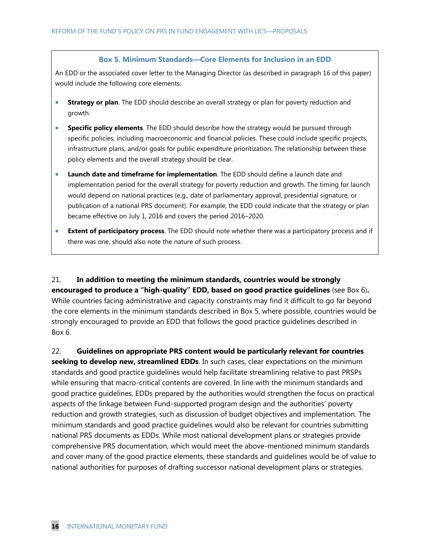#### **Box 5. Minimum Standards—Core Elements for Inclusion in an EDD**

An EDD or the associated cover letter to the Managing Director (as described in paragraph 16 of this paper) would include the following core elements:

- **Strategy or plan**. The EDD should describe an overall strategy or plan for poverty reduction and growth.
- **Specific policy elements**. The EDD should describe how the strategy would be pursued through specific policies, including macroeconomic and financial policies. These could include specific projects, infrastructure plans, and/or goals for public expenditure prioritization. The relationship between these policy elements and the overall strategy should be clear.
- **Launch date and timeframe for implementation**. The EDD should define a launch date and implementation period for the overall strategy for poverty reduction and growth. The timing for launch would depend on national practices (e.g., date of parliamentary approval, presidential signature, or publication of a national PRS document). For example, the EDD could indicate that the strategy or plan became effective on July 1, 2016 and covers the period 2016–2020.
- **Extent of participatory process**. The EDD should note whether there was a participatory process and if there was one, should also note the nature of such process.

21. **In addition to meeting the minimum standards, countries would be strongly encouraged to produce a "high-quality" EDD, based on good practice guidelines** (see Box 6)**.** While countries facing administrative and capacity constraints may find it difficult to go far beyond the core elements in the minimum standards described in Box 5, where possible, countries would be strongly encouraged to provide an EDD that follows the good practice guidelines described in Box 6.

22. **Guidelines on appropriate PRS content would be particularly relevant for countries seeking to develop new, streamlined EDDs**. In such cases, clear expectations on the minimum standards and good practice guidelines would help facilitate streamlining relative to past PRSPs while ensuring that macro-critical contents are covered. In line with the minimum standards and good practice guidelines, EDDs prepared by the authorities would strengthen the focus on practical aspects of the linkage between Fund-supported program design and the authorities' poverty reduction and growth strategies, such as discussion of budget objectives and implementation. The minimum standards and good practice guidelines would also be relevant for countries submitting national PRS documents as EDDs. While most national development plans or strategies provide comprehensive PRS documentation, which would meet the above-mentioned minimum standards and cover many of the good practice elements, these standards and guidelines would be of value to national authorities for purposes of drafting successor national development plans or strategies.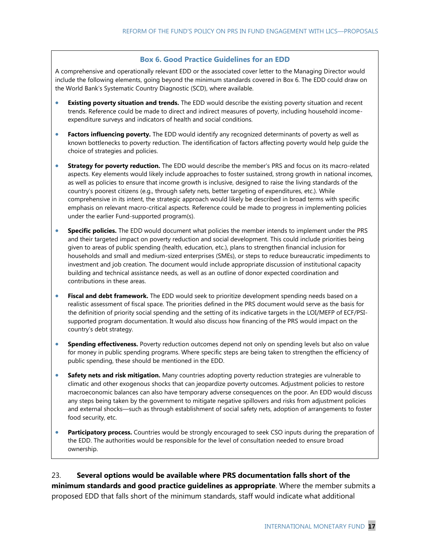#### **Box 6. Good Practice Guidelines for an EDD**

A comprehensive and operationally relevant EDD or the associated cover letter to the Managing Director would include the following elements, going beyond the minimum standards covered in Box 6. The EDD could draw on the World Bank's Systematic Country Diagnostic (SCD), where available.

- **Existing poverty situation and trends.** The EDD would describe the existing poverty situation and recent trends. Reference could be made to direct and indirect measures of poverty, including household incomeexpenditure surveys and indicators of health and social conditions.
- **Factors influencing poverty.** The EDD would identify any recognized determinants of poverty as well as known bottlenecks to poverty reduction. The identification of factors affecting poverty would help guide the choice of strategies and policies.
- **Strategy for poverty reduction.** The EDD would describe the member's PRS and focus on its macro-related aspects. Key elements would likely include approaches to foster sustained, strong growth in national incomes, as well as policies to ensure that income growth is inclusive, designed to raise the living standards of the country's poorest citizens (e.g., through safety nets, better targeting of expenditures, etc.). While comprehensive in its intent, the strategic approach would likely be described in broad terms with specific emphasis on relevant macro-critical aspects. Reference could be made to progress in implementing policies under the earlier Fund-supported program(s).
- **Specific policies.** The EDD would document what policies the member intends to implement under the PRS and their targeted impact on poverty reduction and social development. This could include priorities being given to areas of public spending (health, education, etc.), plans to strengthen financial inclusion for households and small and medium-sized enterprises (SMEs), or steps to reduce bureaucratic impediments to investment and job creation. The document would include appropriate discussion of institutional capacity building and technical assistance needs, as well as an outline of donor expected coordination and contributions in these areas.
- **Fiscal and debt framework.** The EDD would seek to prioritize development spending needs based on a realistic assessment of fiscal space. The priorities defined in the PRS document would serve as the basis for the definition of priority social spending and the setting of its indicative targets in the LOI/MEFP of ECF/PSIsupported program documentation. It would also discuss how financing of the PRS would impact on the country's debt strategy.
- **Spending effectiveness.** Poverty reduction outcomes depend not only on spending levels but also on value for money in public spending programs. Where specific steps are being taken to strengthen the efficiency of public spending, these should be mentioned in the EDD.
- **Safety nets and risk mitigation.** Many countries adopting poverty reduction strategies are vulnerable to climatic and other exogenous shocks that can jeopardize poverty outcomes. Adjustment policies to restore macroeconomic balances can also have temporary adverse consequences on the poor. An EDD would discuss any steps being taken by the government to mitigate negative spillovers and risks from adjustment policies and external shocks—such as through establishment of social safety nets, adoption of arrangements to foster food security, etc.
- Participatory process. Countries would be strongly encouraged to seek CSO inputs during the preparation of the EDD. The authorities would be responsible for the level of consultation needed to ensure broad ownership.

23. **Several options would be available where PRS documentation falls short of the minimum standards and good practice guidelines as appropriate**. Where the member submits a proposed EDD that falls short of the minimum standards, staff would indicate what additional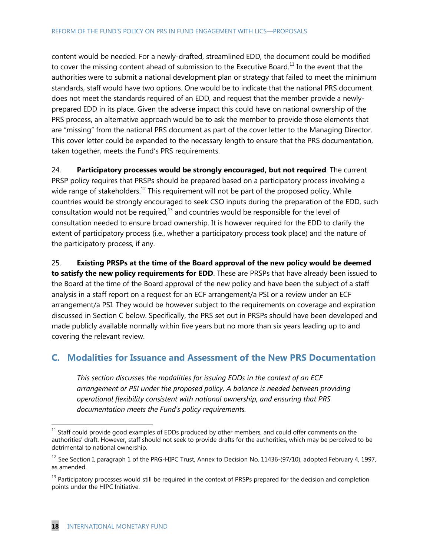content would be needed. For a newly-drafted, streamlined EDD, the document could be modified to cover the missing content ahead of submission to the Executive Board.<sup>11</sup> In the event that the authorities were to submit a national development plan or strategy that failed to meet the minimum standards, staff would have two options. One would be to indicate that the national PRS document does not meet the standards required of an EDD, and request that the member provide a newlyprepared EDD in its place. Given the adverse impact this could have on national ownership of the PRS process, an alternative approach would be to ask the member to provide those elements that are "missing" from the national PRS document as part of the cover letter to the Managing Director. This cover letter could be expanded to the necessary length to ensure that the PRS documentation, taken together, meets the Fund's PRS requirements.

24. **Participatory processes would be strongly encouraged, but not required**. The current PRSP policy requires that PRSPs should be prepared based on a participatory process involving a wide range of stakeholders.<sup>12</sup> This requirement will not be part of the proposed policy. While countries would be strongly encouraged to seek CSO inputs during the preparation of the EDD, such consultation would not be required, $13$  and countries would be responsible for the level of consultation needed to ensure broad ownership. It is however required for the EDD to clarify the extent of participatory process (i.e., whether a participatory process took place) and the nature of the participatory process, if any.

25. **Existing PRSPs at the time of the Board approval of the new policy would be deemed to satisfy the new policy requirements for EDD**. These are PRSPs that have already been issued to the Board at the time of the Board approval of the new policy and have been the subject of a staff analysis in a staff report on a request for an ECF arrangement/a PSI or a review under an ECF arrangement/a PSI. They would be however subject to the requirements on coverage and expiration discussed in Section C below. Specifically, the PRS set out in PRSPs should have been developed and made publicly available normally within five years but no more than six years leading up to and covering the relevant review.

### **C. Modalities for Issuance and Assessment of the New PRS Documentation**

*This section discusses the modalities for issuing EDDs in the context of an ECF arrangement or PSI under the proposed policy. A balance is needed between providing operational flexibility consistent with national ownership, and ensuring that PRS documentation meets the Fund's policy requirements.*

<sup>&</sup>lt;sup>11</sup> Staff could provide good examples of EDDs produced by other members, and could offer comments on the authorities' draft. However, staff should not seek to provide drafts for the authorities, which may be perceived to be detrimental to national ownership.

 $12$  See Section I, paragraph 1 of the PRG-HIPC Trust, Annex to Decision No. 11436-(97/10), adopted February 4, 1997, as amended.

 $13$  Participatory processes would still be required in the context of PRSPs prepared for the decision and completion points under the HIPC Initiative.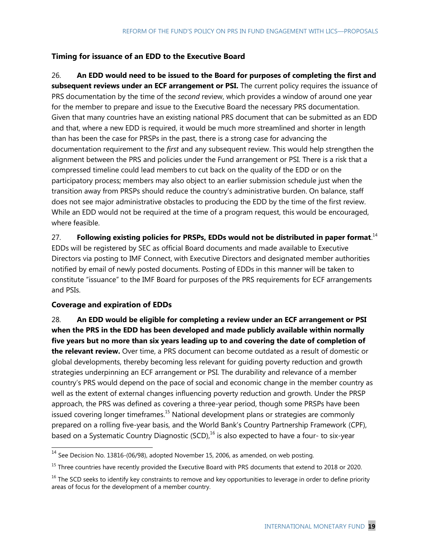### **Timing for issuance of an EDD to the Executive Board**

26. **An EDD would need to be issued to the Board for purposes of completing the first and subsequent reviews under an ECF arrangement or PSI.** The current policy requires the issuance of PRS documentation by the time of the *second* review, which provides a window of around one year for the member to prepare and issue to the Executive Board the necessary PRS documentation. Given that many countries have an existing national PRS document that can be submitted as an EDD and that, where a new EDD is required, it would be much more streamlined and shorter in length than has been the case for PRSPs in the past, there is a strong case for advancing the documentation requirement to the *first* and any subsequent review. This would help strengthen the alignment between the PRS and policies under the Fund arrangement or PSI. There is a risk that a compressed timeline could lead members to cut back on the quality of the EDD or on the participatory process; members may also object to an earlier submission schedule just when the transition away from PRSPs should reduce the country's administrative burden. On balance, staff does not see major administrative obstacles to producing the EDD by the time of the first review. While an EDD would not be required at the time of a program request, this would be encouraged, where feasible.

27. **Following existing policies for PRSPs, EDDs would not be distributed in paper format.**<sup>14</sup> EDDs will be registered by SEC as official Board documents and made available to Executive Directors via posting to IMF Connect, with Executive Directors and designated member authorities notified by email of newly posted documents. Posting of EDDs in this manner will be taken to constitute "issuance" to the IMF Board for purposes of the PRS requirements for ECF arrangements and PSIs.

### **Coverage and expiration of EDDs**

 $\overline{a}$ 

28. **An EDD would be eligible for completing a review under an ECF arrangement or PSI when the PRS in the EDD has been developed and made publicly available within normally five years but no more than six years leading up to and covering the date of completion of the relevant review.** Over time, a PRS document can become outdated as a result of domestic or global developments, thereby becoming less relevant for guiding poverty reduction and growth strategies underpinning an ECF arrangement or PSI. The durability and relevance of a member country's PRS would depend on the pace of social and economic change in the member country as well as the extent of external changes influencing poverty reduction and growth. Under the PRSP approach, the PRS was defined as covering a three-year period, though some PRSPs have been issued covering longer timeframes.<sup>15</sup> National development plans or strategies are commonly prepared on a rolling five-year basis, and the World Bank's Country Partnership Framework (CPF), based on a Systematic Country Diagnostic (SCD),<sup>16</sup> is also expected to have a four- to six-year

 $^{14}$  See Decision No. 13816-(06/98), adopted November 15, 2006, as amended, on web posting.

<sup>&</sup>lt;sup>15</sup> Three countries have recently provided the Executive Board with PRS documents that extend to 2018 or 2020.

 $16$  The SCD seeks to identify key constraints to remove and key opportunities to leverage in order to define priority areas of focus for the development of a member country.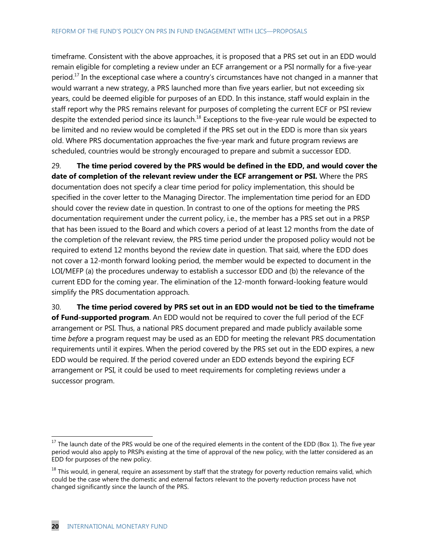timeframe. Consistent with the above approaches, it is proposed that a PRS set out in an EDD would remain eligible for completing a review under an ECF arrangement or a PSI normally for a five-year period.<sup>17</sup> In the exceptional case where a country's circumstances have not changed in a manner that would warrant a new strategy, a PRS launched more than five years earlier, but not exceeding six years, could be deemed eligible for purposes of an EDD. In this instance, staff would explain in the staff report why the PRS remains relevant for purposes of completing the current ECF or PSI review despite the extended period since its launch.<sup>18</sup> Exceptions to the five-year rule would be expected to be limited and no review would be completed if the PRS set out in the EDD is more than six years old. Where PRS documentation approaches the five-year mark and future program reviews are scheduled, countries would be strongly encouraged to prepare and submit a successor EDD.

29. **The time period covered by the PRS would be defined in the EDD, and would cover the date of completion of the relevant review under the ECF arrangement or PSI.** Where the PRS documentation does not specify a clear time period for policy implementation, this should be specified in the cover letter to the Managing Director. The implementation time period for an EDD should cover the review date in question. In contrast to one of the options for meeting the PRS documentation requirement under the current policy, i.e., the member has a PRS set out in a PRSP that has been issued to the Board and which covers a period of at least 12 months from the date of the completion of the relevant review, the PRS time period under the proposed policy would not be required to extend 12 months beyond the review date in question. That said, where the EDD does not cover a 12-month forward looking period, the member would be expected to document in the LOI/MEFP (a) the procedures underway to establish a successor EDD and (b) the relevance of the current EDD for the coming year. The elimination of the 12-month forward-looking feature would simplify the PRS documentation approach.

30. **The time period covered by PRS set out in an EDD would not be tied to the timeframe of Fund-supported program**. An EDD would not be required to cover the full period of the ECF arrangement or PSI. Thus, a national PRS document prepared and made publicly available some time *before* a program request may be used as an EDD for meeting the relevant PRS documentation requirements until it expires. When the period covered by the PRS set out in the EDD expires, a new EDD would be required. If the period covered under an EDD extends beyond the expiring ECF arrangement or PSI, it could be used to meet requirements for completing reviews under a successor program.

 $17$  The launch date of the PRS would be one of the required elements in the content of the EDD (Box 1). The five year period would also apply to PRSPs existing at the time of approval of the new policy, with the latter considered as an EDD for purposes of the new policy.

 $18$  This would, in general, require an assessment by staff that the strategy for poverty reduction remains valid, which could be the case where the domestic and external factors relevant to the poverty reduction process have not changed significantly since the launch of the PRS.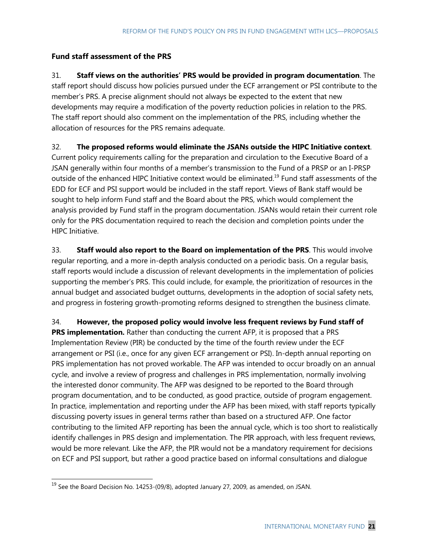#### **Fund staff assessment of the PRS**

31. **Staff views on the authorities' PRS would be provided in program documentation**. The staff report should discuss how policies pursued under the ECF arrangement or PSI contribute to the member's PRS. A precise alignment should not always be expected to the extent that new developments may require a modification of the poverty reduction policies in relation to the PRS. The staff report should also comment on the implementation of the PRS, including whether the allocation of resources for the PRS remains adequate.

32. **The proposed reforms would eliminate the JSANs outside the HIPC Initiative context**.

Current policy r*e*quirements calling for the preparation and circulation to the Executive Board of a JSAN generally within four months of a member's transmission to the Fund of a PRSP or an I-PRSP outside of the enhanced HIPC Initiative context would be eliminated.<sup>19</sup> Fund staff assessments of the EDD for ECF and PSI support would be included in the staff report. Views of Bank staff would be sought to help inform Fund staff and the Board about the PRS, which would complement the analysis provided by Fund staff in the program documentation. JSANs would retain their current role only for the PRS documentation required to reach the decision and completion points under the HIPC Initiative.

33. **Staff would also report to the Board on implementation of the PRS**. This would involve regular reporting, and a more in-depth analysis conducted on a periodic basis. On a regular basis, staff reports would include a discussion of relevant developments in the implementation of policies supporting the member's PRS. This could include, for example, the prioritization of resources in the annual budget and associated budget outturns, developments in the adoption of social safety nets, and progress in fostering growth-promoting reforms designed to strengthen the business climate.

34. **However, the proposed policy would involve less frequent reviews by Fund staff of** 

**PRS implementation.** Rather than conducting the current AFP, it is proposed that a PRS Implementation Review (PIR) be conducted by the time of the fourth review under the ECF arrangement or PSI (i.e., once for any given ECF arrangement or PSI). In-depth annual reporting on PRS implementation has not proved workable. The AFP was intended to occur broadly on an annual cycle, and involve a review of progress and challenges in PRS implementation, normally involving the interested donor community. The AFP was designed to be reported to the Board through program documentation, and to be conducted, as good practice, outside of program engagement. In practice, implementation and reporting under the AFP has been mixed, with staff reports typically discussing poverty issues in general terms rather than based on a structured AFP. One factor contributing to the limited AFP reporting has been the annual cycle, which is too short to realistically identify challenges in PRS design and implementation. The PIR approach, with less frequent reviews, would be more relevant. Like the AFP, the PIR would not be a mandatory requirement for decisions on ECF and PSI support, but rather a good practice based on informal consultations and dialogue

 $^{19}$  See the Board Decision No. 14253-(09/8), adopted January 27, 2009, as amended, on JSAN.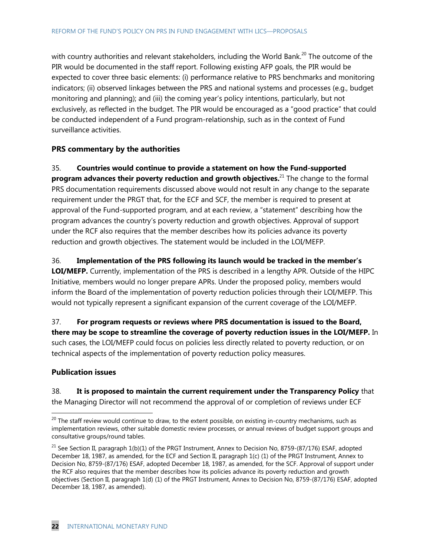with country authorities and relevant stakeholders, including the World Bank.<sup>20</sup> The outcome of the PIR would be documented in the staff report. Following existing AFP goals, the PIR would be expected to cover three basic elements: (i) performance relative to PRS benchmarks and monitoring indicators; (ii) observed linkages between the PRS and national systems and processes (e.g., budget monitoring and planning); and (iii) the coming year's policy intentions, particularly, but not exclusively, as reflected in the budget. The PIR would be encouraged as a "good practice" that could be conducted independent of a Fund program-relationship, such as in the context of Fund surveillance activities.

#### **PRS commentary by the authorities**

35. **Countries would continue to provide a statement on how the Fund-supported** 

**program advances their poverty reduction and growth objectives.** <sup>21</sup> The change to the formal PRS documentation requirements discussed above would not result in any change to the separate requirement under the PRGT that, for the ECF and SCF, the member is required to present at approval of the Fund-supported program, and at each review, a "statement" describing how the program advances the country's poverty reduction and growth objectives. Approval of support under the RCF also requires that the member describes how its policies advance its poverty reduction and growth objectives. The statement would be included in the LOI/MEFP.

36. **Implementation of the PRS following its launch would be tracked in the member's** 

**LOI/MEFP.** Currently, implementation of the PRS is described in a lengthy APR. Outside of the HIPC Initiative, members would no longer prepare APRs. Under the proposed policy, members would inform the Board of the implementation of poverty reduction policies through their LOI/MEFP. This would not typically represent a significant expansion of the current coverage of the LOI/MEFP.

37. **For program requests or reviews where PRS documentation is issued to the Board, there may be scope to streamline the coverage of poverty reduction issues in the LOI/MEFP.** In such cases, the LOI/MEFP could focus on policies less directly related to poverty reduction, or on technical aspects of the implementation of poverty reduction policy measures.

#### **Publication issues**

 $\overline{a}$ 

38. **It is proposed to maintain the current requirement under the Transparency Policy** that the Managing Director will not recommend the approval of or completion of reviews under ECF

 $^{20}$  The staff review would continue to draw, to the extent possible, on existing in-country mechanisms, such as implementation reviews, other suitable domestic review processes, or annual reviews of budget support groups and consultative groups/round tables.

 $21$  See Section II, paragraph 1(b)(1) of the PRGT Instrument, Annex to Decision No, 8759-(87/176) ESAF, adopted December 18, 1987, as amended, for the ECF and Section II, paragraph 1(c) (1) of the PRGT Instrument, Annex to Decision No, 8759-(87/176) ESAF, adopted December 18, 1987, as amended, for the SCF. Approval of support under the RCF also requires that the member describes how its policies advance its poverty reduction and growth objectives (Section II, paragraph 1(d) (1) of the PRGT Instrument, Annex to Decision No, 8759-(87/176) ESAF, adopted December 18, 1987, as amended).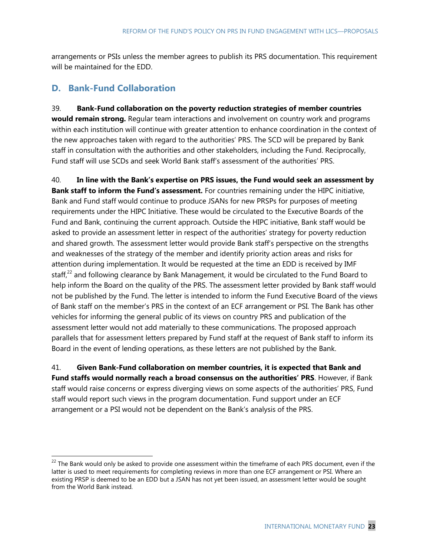arrangements or PSIs unless the member agrees to publish its PRS documentation. This requirement will be maintained for the EDD.

### **D. Bank-Fund Collaboration**

 $\overline{a}$ 

39. **Bank-Fund collaboration on the poverty reduction strategies of member countries would remain strong.** Regular team interactions and involvement on country work and programs within each institution will continue with greater attention to enhance coordination in the context of the new approaches taken with regard to the authorities' PRS. The SCD will be prepared by Bank staff in consultation with the authorities and other stakeholders, including the Fund. Reciprocally, Fund staff will use SCDs and seek World Bank staff's assessment of the authorities' PRS.

40. **In line with the Bank's expertise on PRS issues, the Fund would seek an assessment by Bank staff to inform the Fund's assessment.** For countries remaining under the HIPC initiative, Bank and Fund staff would continue to produce JSANs for new PRSPs for purposes of meeting requirements under the HIPC Initiative. These would be circulated to the Executive Boards of the Fund and Bank, continuing the current approach. Outside the HIPC initiative, Bank staff would be asked to provide an assessment letter in respect of the authorities' strategy for poverty reduction and shared growth. The assessment letter would provide Bank staff's perspective on the strengths and weaknesses of the strategy of the member and identify priority action areas and risks for attention during implementation. It would be requested at the time an EDD is received by IMF staff, $^{22}$  and following clearance by Bank Management, it would be circulated to the Fund Board to help inform the Board on the quality of the PRS. The assessment letter provided by Bank staff would not be published by the Fund. The letter is intended to inform the Fund Executive Board of the views of Bank staff on the member's PRS in the context of an ECF arrangement or PSI. The Bank has other vehicles for informing the general public of its views on country PRS and publication of the assessment letter would not add materially to these communications. The proposed approach parallels that for assessment letters prepared by Fund staff at the request of Bank staff to inform its Board in the event of lending operations, as these letters are not published by the Bank.

41. **Given Bank-Fund collaboration on member countries, it is expected that Bank and Fund staffs would normally reach a broad consensus on the authorities' PRS**. However, if Bank staff would raise concerns or express diverging views on some aspects of the authorities' PRS, Fund staff would report such views in the program documentation. Fund support under an ECF arrangement or a PSI would not be dependent on the Bank's analysis of the PRS.

<sup>&</sup>lt;sup>22</sup> The Bank would only be asked to provide one assessment within the timeframe of each PRS document, even if the latter is used to meet requirements for completing reviews in more than one ECF arrangement or PSI. Where an existing PRSP is deemed to be an EDD but a JSAN has not yet been issued, an assessment letter would be sought from the World Bank instead.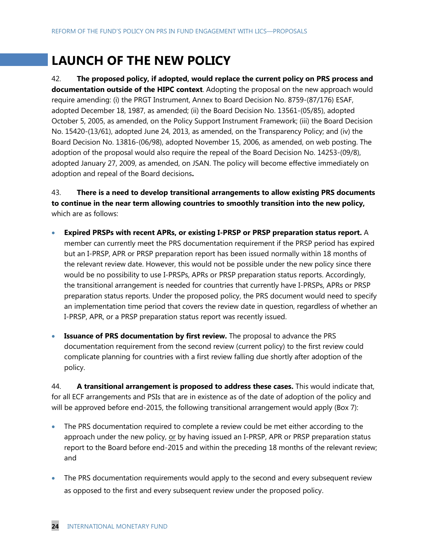# **LAUNCH OF THE NEW POLICY**

42. **The proposed policy, if adopted, would replace the current policy on PRS process and documentation outside of the HIPC context**. Adopting the proposal on the new approach would require amending: (i) the PRGT Instrument, Annex to Board Decision No. 8759-(87/176) ESAF, adopted December 18, 1987, as amended; (ii) the Board Decision No. 13561-(05/85), adopted October 5, 2005, as amended, on the Policy Support Instrument Framework; (iii) the Board Decision No. 15420-(13/61), adopted June 24, 2013, as amended, on the Transparency Policy; and (iv) the Board Decision No. 13816-(06/98), adopted November 15, 2006, as amended, on web posting. The adoption of the proposal would also require the repeal of the Board Decision No. 14253-(09/8), adopted January 27, 2009, as amended, on JSAN. The policy will become effective immediately on adoption and repeal of the Board decisions**.**

43. **There is a need to develop transitional arrangements to allow existing PRS documents to continue in the near term allowing countries to smoothly transition into the new policy,**  which are as follows:

- **Expired PRSPs with recent APRs, or existing I-PRSP or PRSP preparation status report.** A member can currently meet the PRS documentation requirement if the PRSP period has expired but an I-PRSP, APR or PRSP preparation report has been issued normally within 18 months of the relevant review date. However, this would not be possible under the new policy since there would be no possibility to use I-PRSPs, APRs or PRSP preparation status reports. Accordingly, the transitional arrangement is needed for countries that currently have I-PRSPs, APRs or PRSP preparation status reports. Under the proposed policy, the PRS document would need to specify an implementation time period that covers the review date in question, regardless of whether an I-PRSP, APR, or a PRSP preparation status report was recently issued.
- **Issuance of PRS documentation by first review.** The proposal to advance the PRS documentation requirement from the second review (current policy) to the first review could complicate planning for countries with a first review falling due shortly after adoption of the policy.

44. **A transitional arrangement is proposed to address these cases.** This would indicate that, for all ECF arrangements and PSIs that are in existence as of the date of adoption of the policy and will be approved before end-2015, the following transitional arrangement would apply (Box 7):

- The PRS documentation required to complete a review could be met either according to the approach under the new policy, or by having issued an I-PRSP, APR or PRSP preparation status report to the Board before end-2015 and within the preceding 18 months of the relevant review; and
- The PRS documentation requirements would apply to the second and every subsequent review as opposed to the first and every subsequent review under the proposed policy.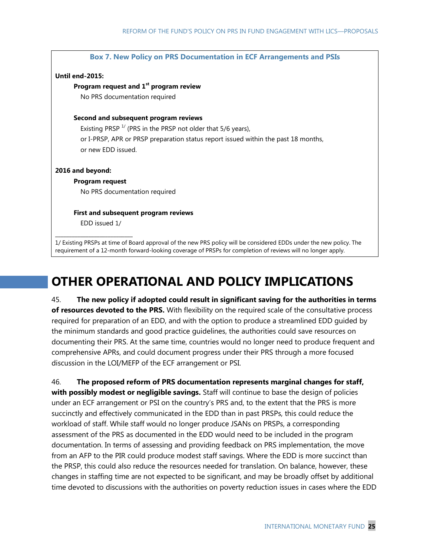|                                                                    | <b>Box 7. New Policy on PRS Documentation in ECF Arrangements and PSIs</b>         |  |  |  |  |  |  |
|--------------------------------------------------------------------|------------------------------------------------------------------------------------|--|--|--|--|--|--|
|                                                                    | <b>Until end-2015:</b>                                                             |  |  |  |  |  |  |
|                                                                    | Program request and 1 <sup>st</sup> program review                                 |  |  |  |  |  |  |
|                                                                    | No PRS documentation required                                                      |  |  |  |  |  |  |
|                                                                    | Second and subsequent program reviews                                              |  |  |  |  |  |  |
| Existing PRSP $^{1/2}$ (PRS in the PRSP not older that 5/6 years), |                                                                                    |  |  |  |  |  |  |
|                                                                    | or I-PRSP, APR or PRSP preparation status report issued within the past 18 months, |  |  |  |  |  |  |
|                                                                    | or new EDD issued.                                                                 |  |  |  |  |  |  |
|                                                                    | 2016 and beyond:                                                                   |  |  |  |  |  |  |
|                                                                    | Program request                                                                    |  |  |  |  |  |  |
|                                                                    | No PRS documentation required                                                      |  |  |  |  |  |  |
|                                                                    | First and subsequent program reviews                                               |  |  |  |  |  |  |
|                                                                    | EDD issued 1/                                                                      |  |  |  |  |  |  |

# **OTHER OPERATIONAL AND POLICY IMPLICATIONS**

45. **The new policy if adopted could result in significant saving for the authorities in terms of resources devoted to the PRS.** With flexibility on the required scale of the consultative process required for preparation of an EDD, and with the option to produce a streamlined EDD guided by the minimum standards and good practice guidelines, the authorities could save resources on documenting their PRS. At the same time, countries would no longer need to produce frequent and comprehensive APRs, and could document progress under their PRS through a more focused discussion in the LOI/MEFP of the ECF arrangement or PSI.

46. **The proposed reform of PRS documentation represents marginal changes for staff, with possibly modest or negligible savings.** Staff will continue to base the design of policies under an ECF arrangement or PSI on the country's PRS and, to the extent that the PRS is more succinctly and effectively communicated in the EDD than in past PRSPs, this could reduce the workload of staff. While staff would no longer produce JSANs on PRSPs, a corresponding assessment of the PRS as documented in the EDD would need to be included in the program documentation. In terms of assessing and providing feedback on PRS implementation, the move from an AFP to the PIR could produce modest staff savings. Where the EDD is more succinct than the PRSP, this could also reduce the resources needed for translation. On balance, however, these changes in staffing time are not expected to be significant, and may be broadly offset by additional time devoted to discussions with the authorities on poverty reduction issues in cases where the EDD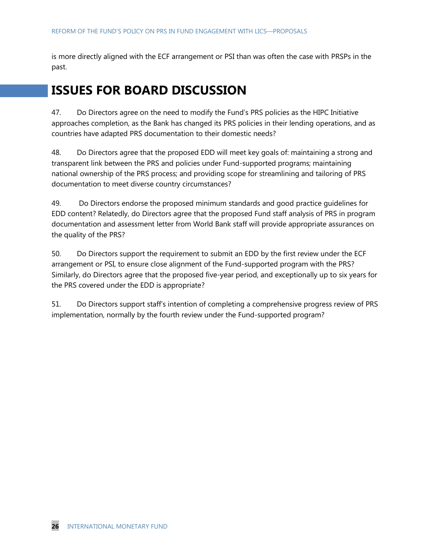is more directly aligned with the ECF arrangement or PSI than was often the case with PRSPs in the past.

## **ISSUES FOR BOARD DISCUSSION**

47. Do Directors agree on the need to modify the Fund's PRS policies as the HIPC Initiative approaches completion, as the Bank has changed its PRS policies in their lending operations, and as countries have adapted PRS documentation to their domestic needs?

48. Do Directors agree that the proposed EDD will meet key goals of: maintaining a strong and transparent link between the PRS and policies under Fund-supported programs; maintaining national ownership of the PRS process; and providing scope for streamlining and tailoring of PRS documentation to meet diverse country circumstances?

49. Do Directors endorse the proposed minimum standards and good practice guidelines for EDD content? Relatedly, do Directors agree that the proposed Fund staff analysis of PRS in program documentation and assessment letter from World Bank staff will provide appropriate assurances on the quality of the PRS?

50. Do Directors support the requirement to submit an EDD by the first review under the ECF arrangement or PSI, to ensure close alignment of the Fund-supported program with the PRS? Similarly, do Directors agree that the proposed five-year period, and exceptionally up to six years for the PRS covered under the EDD is appropriate?

51. Do Directors support staff's intention of completing a comprehensive progress review of PRS implementation, normally by the fourth review under the Fund-supported program?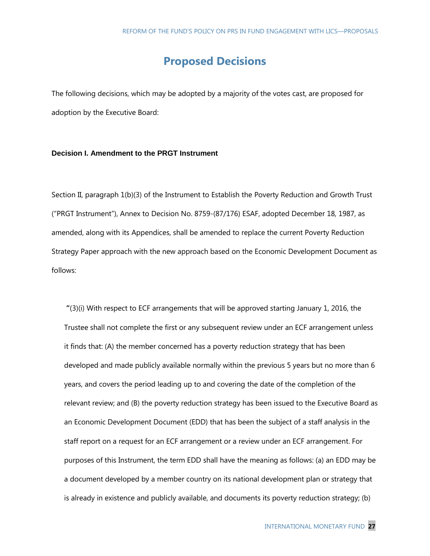## **Proposed Decisions**

The following decisions, which may be adopted by a majority of the votes cast, are proposed for adoption by the Executive Board:

#### **Decision I. Amendment to the PRGT Instrument**

Section II, paragraph 1(b)(3) of the Instrument to Establish the Poverty Reduction and Growth Trust ("PRGT Instrument"), Annex to Decision No. 8759-(87/176) ESAF, adopted December 18, 1987, as amended, along with its Appendices, shall be amended to replace the current Poverty Reduction Strategy Paper approach with the new approach based on the Economic Development Document as follows:

**"**(3)(i) With respect to ECF arrangements that will be approved starting January 1, 2016, the Trustee shall not complete the first or any subsequent review under an ECF arrangement unless it finds that: (A) the member concerned has a poverty reduction strategy that has been developed and made publicly available normally within the previous 5 years but no more than 6 years, and covers the period leading up to and covering the date of the completion of the relevant review; and (B) the poverty reduction strategy has been issued to the Executive Board as an Economic Development Document (EDD) that has been the subject of a staff analysis in the staff report on a request for an ECF arrangement or a review under an ECF arrangement. For purposes of this Instrument, the term EDD shall have the meaning as follows: (a) an EDD may be a document developed by a member country on its national development plan or strategy that is already in existence and publicly available, and documents its poverty reduction strategy; (b)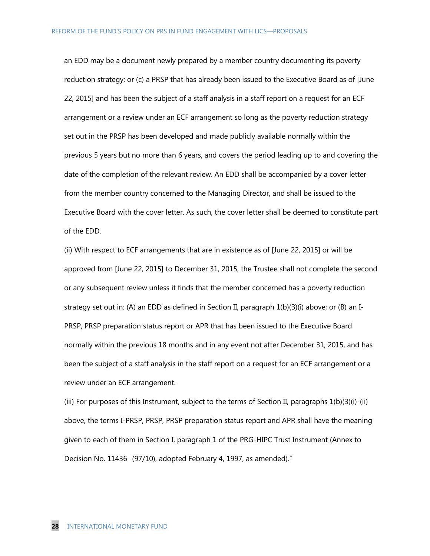an EDD may be a document newly prepared by a member country documenting its poverty reduction strategy; or (c) a PRSP that has already been issued to the Executive Board as of [June 22, 2015] and has been the subject of a staff analysis in a staff report on a request for an ECF arrangement or a review under an ECF arrangement so long as the poverty reduction strategy set out in the PRSP has been developed and made publicly available normally within the previous 5 years but no more than 6 years, and covers the period leading up to and covering the date of the completion of the relevant review. An EDD shall be accompanied by a cover letter from the member country concerned to the Managing Director, and shall be issued to the Executive Board with the cover letter. As such, the cover letter shall be deemed to constitute part of the EDD.

(ii) With respect to ECF arrangements that are in existence as of [June 22, 2015] or will be approved from [June 22, 2015] to December 31, 2015, the Trustee shall not complete the second or any subsequent review unless it finds that the member concerned has a poverty reduction strategy set out in: (A) an EDD as defined in Section II, paragraph 1(b)(3)(i) above; or (B) an I-PRSP, PRSP preparation status report or APR that has been issued to the Executive Board normally within the previous 18 months and in any event not after December 31, 2015, and has been the subject of a staff analysis in the staff report on a request for an ECF arrangement or a review under an ECF arrangement.

(iii) For purposes of this Instrument, subject to the terms of Section II, paragraphs 1(b)(3)(i)-(ii) above, the terms I-PRSP, PRSP, PRSP preparation status report and APR shall have the meaning given to each of them in Section I, paragraph 1 of the PRG-HIPC Trust Instrument (Annex to Decision No. 11436- (97/10), adopted February 4, 1997, as amended)."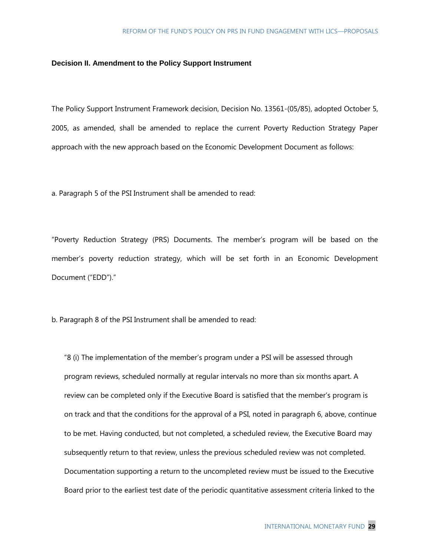#### **Decision II. Amendment to the Policy Support Instrument**

The Policy Support Instrument Framework decision, Decision No. 13561-(05/85), adopted October 5, 2005, as amended, shall be amended to replace the current Poverty Reduction Strategy Paper approach with the new approach based on the Economic Development Document as follows:

a. Paragraph 5 of the PSI Instrument shall be amended to read:

"Poverty Reduction Strategy (PRS) Documents. The member's program will be based on the member's poverty reduction strategy, which will be set forth in an Economic Development Document ("EDD")."

b. Paragraph 8 of the PSI Instrument shall be amended to read:

"8 (i) The implementation of the member's program under a PSI will be assessed through program reviews, scheduled normally at regular intervals no more than six months apart. A review can be completed only if the Executive Board is satisfied that the member's program is on track and that the conditions for the approval of a PSI, noted in paragraph 6, above, continue to be met. Having conducted, but not completed, a scheduled review, the Executive Board may subsequently return to that review, unless the previous scheduled review was not completed. Documentation supporting a return to the uncompleted review must be issued to the Executive Board prior to the earliest test date of the periodic quantitative assessment criteria linked to the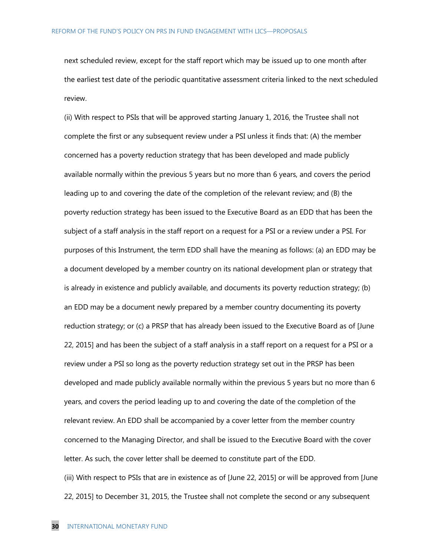next scheduled review, except for the staff report which may be issued up to one month after the earliest test date of the periodic quantitative assessment criteria linked to the next scheduled review.

(ii) With respect to PSIs that will be approved starting January 1, 2016, the Trustee shall not complete the first or any subsequent review under a PSI unless it finds that: (A) the member concerned has a poverty reduction strategy that has been developed and made publicly available normally within the previous 5 years but no more than 6 years, and covers the period leading up to and covering the date of the completion of the relevant review; and (B) the poverty reduction strategy has been issued to the Executive Board as an EDD that has been the subject of a staff analysis in the staff report on a request for a PSI or a review under a PSI. For purposes of this Instrument, the term EDD shall have the meaning as follows: (a) an EDD may be a document developed by a member country on its national development plan or strategy that is already in existence and publicly available, and documents its poverty reduction strategy; (b) an EDD may be a document newly prepared by a member country documenting its poverty reduction strategy; or (c) a PRSP that has already been issued to the Executive Board as of [June 22, 2015] and has been the subject of a staff analysis in a staff report on a request for a PSI or a review under a PSI so long as the poverty reduction strategy set out in the PRSP has been developed and made publicly available normally within the previous 5 years but no more than 6 years, and covers the period leading up to and covering the date of the completion of the relevant review. An EDD shall be accompanied by a cover letter from the member country concerned to the Managing Director, and shall be issued to the Executive Board with the cover letter. As such, the cover letter shall be deemed to constitute part of the EDD.

(iii) With respect to PSIs that are in existence as of [June 22, 2015] or will be approved from [June 22, 2015] to December 31, 2015, the Trustee shall not complete the second or any subsequent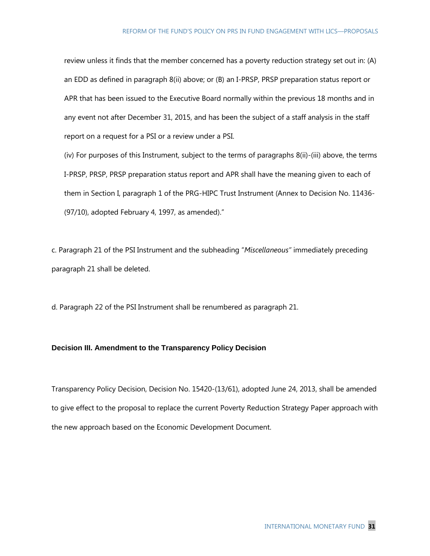review unless it finds that the member concerned has a poverty reduction strategy set out in: (A) an EDD as defined in paragraph 8(ii) above; or (B) an I-PRSP, PRSP preparation status report or APR that has been issued to the Executive Board normally within the previous 18 months and in any event not after December 31, 2015, and has been the subject of a staff analysis in the staff report on a request for a PSI or a review under a PSI.

(iv) For purposes of this Instrument, subject to the terms of paragraphs 8(ii)-(iii) above, the terms I-PRSP, PRSP, PRSP preparation status report and APR shall have the meaning given to each of them in Section I, paragraph 1 of the PRG-HIPC Trust Instrument (Annex to Decision No. 11436- (97/10), adopted February 4, 1997, as amended)."

c. Paragraph 21 of the PSI Instrument and the subheading "*Miscellaneous"* immediately preceding paragraph 21 shall be deleted.

d. Paragraph 22 of the PSI Instrument shall be renumbered as paragraph 21.

#### **Decision III. Amendment to the Transparency Policy Decision**

Transparency Policy Decision, Decision No. 15420-(13/61), adopted June 24, 2013, shall be amended to give effect to the proposal to replace the current Poverty Reduction Strategy Paper approach with the new approach based on the Economic Development Document.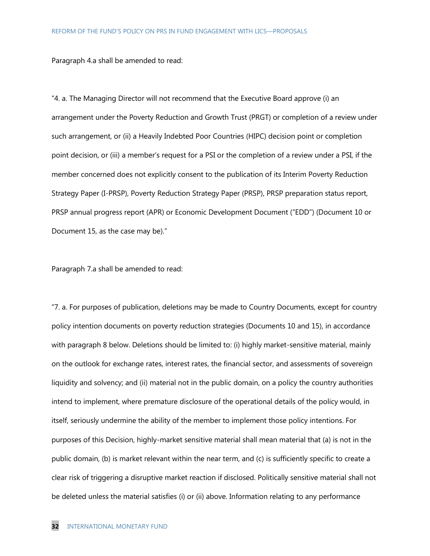Paragraph 4.a shall be amended to read:

"4. a. The Managing Director will not recommend that the Executive Board approve (i) an arrangement under the Poverty Reduction and Growth Trust (PRGT) or completion of a review under such arrangement, or (ii) a Heavily Indebted Poor Countries (HIPC) decision point or completion point decision, or (iii) a member's request for a PSI or the completion of a review under a PSI, if the member concerned does not explicitly consent to the publication of its Interim Poverty Reduction Strategy Paper (I-PRSP), Poverty Reduction Strategy Paper (PRSP), PRSP preparation status report, PRSP annual progress report (APR) or Economic Development Document ("EDD") (Document 10 or Document 15, as the case may be)."

Paragraph 7.a shall be amended to read:

"7. a. For purposes of publication, deletions may be made to Country Documents, except for country policy intention documents on poverty reduction strategies (Documents 10 and 15), in accordance with paragraph 8 below. Deletions should be limited to: (i) highly market-sensitive material, mainly on the outlook for exchange rates, interest rates, the financial sector, and assessments of sovereign liquidity and solvency; and (ii) material not in the public domain, on a policy the country authorities intend to implement, where premature disclosure of the operational details of the policy would, in itself, seriously undermine the ability of the member to implement those policy intentions. For purposes of this Decision, highly-market sensitive material shall mean material that (a) is not in the public domain, (b) is market relevant within the near term, and (c) is sufficiently specific to create a clear risk of triggering a disruptive market reaction if disclosed. Politically sensitive material shall not be deleted unless the material satisfies (i) or (ii) above. Information relating to any performance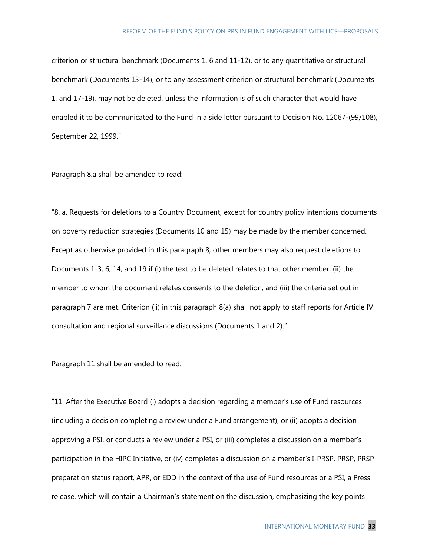criterion or structural benchmark (Documents 1, 6 and 11-12), or to any quantitative or structural benchmark (Documents 13-14), or to any assessment criterion or structural benchmark (Documents 1, and 17-19), may not be deleted, unless the information is of such character that would have enabled it to be communicated to the Fund in a side letter pursuant to Decision No. 12067-(99/108), September 22, 1999."

Paragraph 8.a shall be amended to read:

"8. a. Requests for deletions to a Country Document, except for country policy intentions documents on poverty reduction strategies (Documents 10 and 15) may be made by the member concerned. Except as otherwise provided in this paragraph 8, other members may also request deletions to Documents 1-3, 6, 14, and 19 if (i) the text to be deleted relates to that other member, (ii) the member to whom the document relates consents to the deletion, and (iii) the criteria set out in paragraph 7 are met. Criterion (ii) in this paragraph 8(a) shall not apply to staff reports for Article IV consultation and regional surveillance discussions (Documents 1 and 2)."

Paragraph 11 shall be amended to read:

"11. After the Executive Board (i) adopts a decision regarding a member's use of Fund resources (including a decision completing a review under a Fund arrangement), or (ii) adopts a decision approving a PSI, or conducts a review under a PSI, or (iii) completes a discussion on a member's participation in the HIPC Initiative, or (iv) completes a discussion on a member's I-PRSP, PRSP, PRSP preparation status report, APR, or EDD in the context of the use of Fund resources or a PSI, a Press release, which will contain a Chairman's statement on the discussion, emphasizing the key points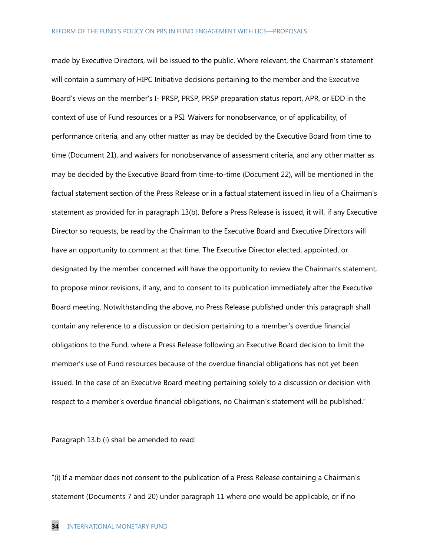made by Executive Directors, will be issued to the public. Where relevant, the Chairman's statement will contain a summary of HIPC Initiative decisions pertaining to the member and the Executive Board's views on the member's I- PRSP, PRSP, PRSP preparation status report, APR, or EDD in the context of use of Fund resources or a PSI. Waivers for nonobservance, or of applicability, of performance criteria, and any other matter as may be decided by the Executive Board from time to time (Document 21), and waivers for nonobservance of assessment criteria, and any other matter as may be decided by the Executive Board from time-to-time (Document 22), will be mentioned in the factual statement section of the Press Release or in a factual statement issued in lieu of a Chairman's statement as provided for in paragraph 13(b). Before a Press Release is issued, it will, if any Executive Director so requests, be read by the Chairman to the Executive Board and Executive Directors will have an opportunity to comment at that time. The Executive Director elected, appointed, or designated by the member concerned will have the opportunity to review the Chairman's statement, to propose minor revisions, if any, and to consent to its publication immediately after the Executive Board meeting. Notwithstanding the above, no Press Release published under this paragraph shall contain any reference to a discussion or decision pertaining to a member's overdue financial obligations to the Fund, where a Press Release following an Executive Board decision to limit the member's use of Fund resources because of the overdue financial obligations has not yet been issued. In the case of an Executive Board meeting pertaining solely to a discussion or decision with respect to a member's overdue financial obligations, no Chairman's statement will be published."

Paragraph 13.b (i) shall be amended to read:

"(i) If a member does not consent to the publication of a Press Release containing a Chairman's statement (Documents 7 and 20) under paragraph 11 where one would be applicable, or if no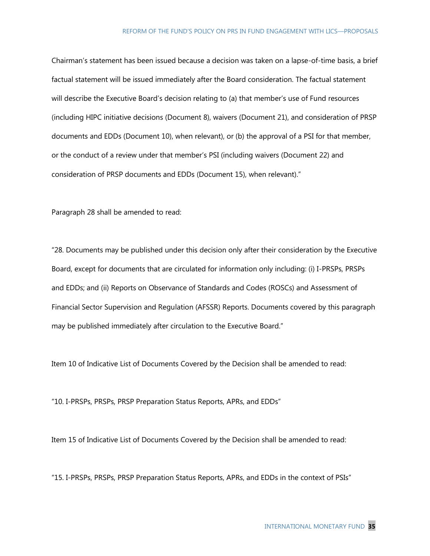Chairman's statement has been issued because a decision was taken on a lapse-of-time basis, a brief factual statement will be issued immediately after the Board consideration. The factual statement will describe the Executive Board's decision relating to (a) that member's use of Fund resources (including HIPC initiative decisions (Document 8), waivers (Document 21), and consideration of PRSP documents and EDDs (Document 10), when relevant), or (b) the approval of a PSI for that member, or the conduct of a review under that member's PSI (including waivers (Document 22) and consideration of PRSP documents and EDDs (Document 15), when relevant)."

Paragraph 28 shall be amended to read:

"28. Documents may be published under this decision only after their consideration by the Executive Board, except for documents that are circulated for information only including: (i) I-PRSPs, PRSPs and EDDs; and (ii) Reports on Observance of Standards and Codes (ROSCs) and Assessment of Financial Sector Supervision and Regulation (AFSSR) Reports. Documents covered by this paragraph may be published immediately after circulation to the Executive Board."

Item 10 of Indicative List of Documents Covered by the Decision shall be amended to read:

"10. I-PRSPs, PRSPs, PRSP Preparation Status Reports, APRs, and EDDs"

Item 15 of Indicative List of Documents Covered by the Decision shall be amended to read:

"15. I-PRSPs, PRSPs, PRSP Preparation Status Reports, APRs, and EDDs in the context of PSIs"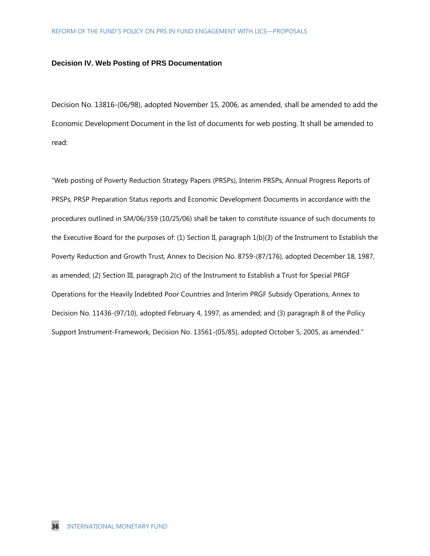#### **Decision IV. Web Posting of PRS Documentation**

Decision No. 13816-(06/98), adopted November 15, 2006, as amended, shall be amended to add the Economic Development Document in the list of documents for web posting. It shall be amended to read:

"Web posting of Poverty Reduction Strategy Papers (PRSPs), Interim PRSPs, Annual Progress Reports of PRSPs, PRSP Preparation Status reports and Economic Development Documents in accordance with the procedures outlined in SM/06/359 (10/25/06) shall be taken to constitute issuance of such documents to the Executive Board for the purposes of: (1) Section II, paragraph 1(b)(3) of the Instrument to Establish the Poverty Reduction and Growth Trust, Annex to Decision No. 8759-(87/176), adopted December 18, 1987, as amended; (2) Section III, paragraph 2(c) of the Instrument to Establish a Trust for Special PRGF Operations for the Heavily Indebted Poor Countries and Interim PRGF Subsidy Operations, Annex to Decision No. 11436-(97/10), adopted February 4, 1997, as amended; and (3) paragraph 8 of the Policy Support Instrument-Framework, Decision No. 13561-(05/85), adopted October 5, 2005, as amended."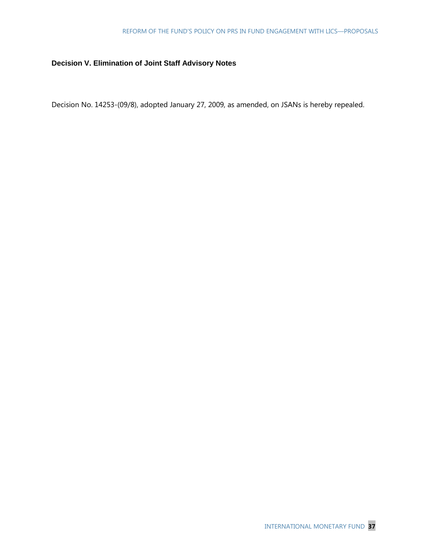### **Decision V. Elimination of Joint Staff Advisory Notes**

Decision No. 14253-(09/8), adopted January 27, 2009, as amended, on JSANs is hereby repealed.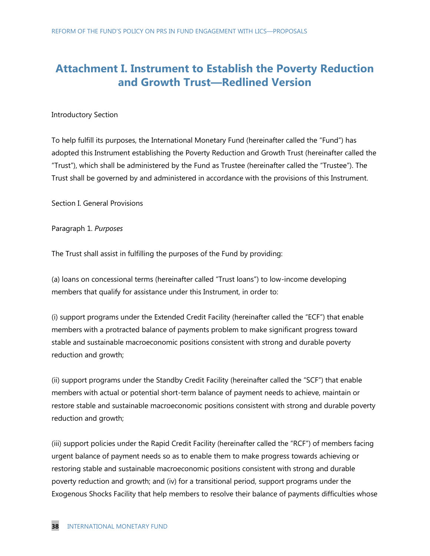## **Attachment I. Instrument to Establish the Poverty Reduction and Growth Trust—Redlined Version**

#### Introductory Section

To help fulfill its purposes, the International Monetary Fund (hereinafter called the "Fund") has adopted this Instrument establishing the Poverty Reduction and Growth Trust (hereinafter called the "Trust"), which shall be administered by the Fund as Trustee (hereinafter called the "Trustee"). The Trust shall be governed by and administered in accordance with the provisions of this Instrument.

Section I. General Provisions

Paragraph 1. *Purposes*

The Trust shall assist in fulfilling the purposes of the Fund by providing:

(a) loans on concessional terms (hereinafter called "Trust loans") to low-income developing members that qualify for assistance under this Instrument, in order to:

(i) support programs under the Extended Credit Facility (hereinafter called the "ECF") that enable members with a protracted balance of payments problem to make significant progress toward stable and sustainable macroeconomic positions consistent with strong and durable poverty reduction and growth;

(ii) support programs under the Standby Credit Facility (hereinafter called the "SCF") that enable members with actual or potential short-term balance of payment needs to achieve, maintain or restore stable and sustainable macroeconomic positions consistent with strong and durable poverty reduction and growth;

(iii) support policies under the Rapid Credit Facility (hereinafter called the "RCF") of members facing urgent balance of payment needs so as to enable them to make progress towards achieving or restoring stable and sustainable macroeconomic positions consistent with strong and durable poverty reduction and growth; and (iv) for a transitional period, support programs under the Exogenous Shocks Facility that help members to resolve their balance of payments difficulties whose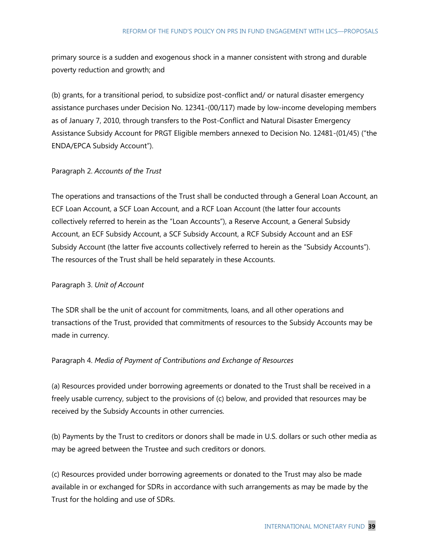primary source is a sudden and exogenous shock in a manner consistent with strong and durable poverty reduction and growth; and

(b) grants, for a transitional period, to subsidize post-conflict and/ or natural disaster emergency assistance purchases under Decision No. 12341-(00/117) made by low-income developing members as of January 7, 2010, through transfers to the Post-Conflict and Natural Disaster Emergency Assistance Subsidy Account for PRGT Eligible members annexed to Decision No. 12481-(01/45) ("the ENDA/EPCA Subsidy Account").

#### Paragraph 2. *Accounts of the Trust*

The operations and transactions of the Trust shall be conducted through a General Loan Account, an ECF Loan Account, a SCF Loan Account, and a RCF Loan Account (the latter four accounts collectively referred to herein as the "Loan Accounts"), a Reserve Account, a General Subsidy Account, an ECF Subsidy Account, a SCF Subsidy Account, a RCF Subsidy Account and an ESF Subsidy Account (the latter five accounts collectively referred to herein as the "Subsidy Accounts"). The resources of the Trust shall be held separately in these Accounts.

#### Paragraph 3. *Unit of Account*

The SDR shall be the unit of account for commitments, loans, and all other operations and transactions of the Trust, provided that commitments of resources to the Subsidy Accounts may be made in currency.

#### Paragraph 4. *Media of Payment of Contributions and Exchange of Resources*

(a) Resources provided under borrowing agreements or donated to the Trust shall be received in a freely usable currency, subject to the provisions of (c) below, and provided that resources may be received by the Subsidy Accounts in other currencies.

(b) Payments by the Trust to creditors or donors shall be made in U.S. dollars or such other media as may be agreed between the Trustee and such creditors or donors.

(c) Resources provided under borrowing agreements or donated to the Trust may also be made available in or exchanged for SDRs in accordance with such arrangements as may be made by the Trust for the holding and use of SDRs.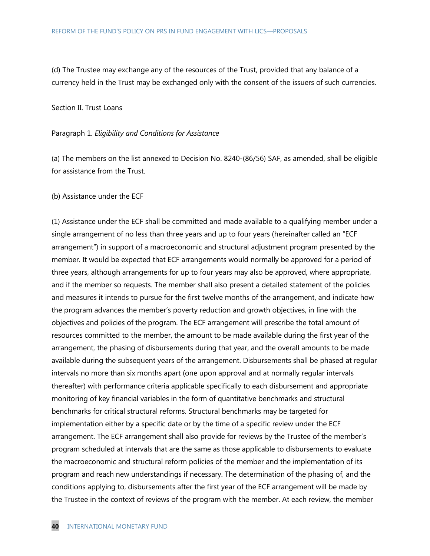(d) The Trustee may exchange any of the resources of the Trust, provided that any balance of a currency held in the Trust may be exchanged only with the consent of the issuers of such currencies.

#### Section II. Trust Loans

#### Paragraph 1. *Eligibility and Conditions for Assistance*

(a) The members on the list annexed to Decision No. 8240-(86/56) SAF, as amended, shall be eligible for assistance from the Trust.

#### (b) Assistance under the ECF

(1) Assistance under the ECF shall be committed and made available to a qualifying member under a single arrangement of no less than three years and up to four years (hereinafter called an "ECF arrangement") in support of a macroeconomic and structural adjustment program presented by the member. It would be expected that ECF arrangements would normally be approved for a period of three years, although arrangements for up to four years may also be approved, where appropriate, and if the member so requests. The member shall also present a detailed statement of the policies and measures it intends to pursue for the first twelve months of the arrangement, and indicate how the program advances the member's poverty reduction and growth objectives, in line with the objectives and policies of the program. The ECF arrangement will prescribe the total amount of resources committed to the member, the amount to be made available during the first year of the arrangement, the phasing of disbursements during that year, and the overall amounts to be made available during the subsequent years of the arrangement. Disbursements shall be phased at regular intervals no more than six months apart (one upon approval and at normally regular intervals thereafter) with performance criteria applicable specifically to each disbursement and appropriate monitoring of key financial variables in the form of quantitative benchmarks and structural benchmarks for critical structural reforms. Structural benchmarks may be targeted for implementation either by a specific date or by the time of a specific review under the ECF arrangement. The ECF arrangement shall also provide for reviews by the Trustee of the member's program scheduled at intervals that are the same as those applicable to disbursements to evaluate the macroeconomic and structural reform policies of the member and the implementation of its program and reach new understandings if necessary. The determination of the phasing of, and the conditions applying to, disbursements after the first year of the ECF arrangement will be made by the Trustee in the context of reviews of the program with the member. At each review, the member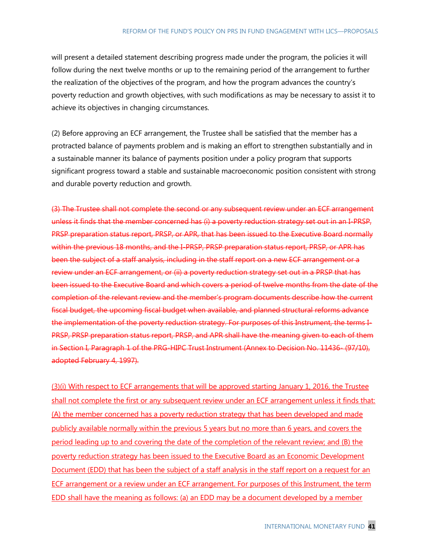will present a detailed statement describing progress made under the program, the policies it will follow during the next twelve months or up to the remaining period of the arrangement to further the realization of the objectives of the program, and how the program advances the country's poverty reduction and growth objectives, with such modifications as may be necessary to assist it to achieve its objectives in changing circumstances.

(2) Before approving an ECF arrangement, the Trustee shall be satisfied that the member has a protracted balance of payments problem and is making an effort to strengthen substantially and in a sustainable manner its balance of payments position under a policy program that supports significant progress toward a stable and sustainable macroeconomic position consistent with strong and durable poverty reduction and growth.

(3) The Trustee shall not complete the second or any subsequent review under an ECF arrangement unless it finds that the member concerned has (i) a poverty reduction strategy set out in an I-PRSP, PRSP preparation status report, PRSP, or APR, that has been issued to the Executive Board normally within the previous 18 months, and the I-PRSP, PRSP preparation status report, PRSP, or APR has been the subject of a staff analysis, including in the staff report on a new ECF arrangement or a review under an ECF arrangement, or (ii) a poverty reduction strategy set out in a PRSP that has been issued to the Executive Board and which covers a period of twelve months from the date of the completion of the relevant review and the member's program documents describe how the current fiscal budget, the upcoming fiscal budget when available, and planned structural reforms advance the implementation of the poverty reduction strategy. For purposes of this Instrument, the terms I-PRSP, PRSP preparation status report, PRSP, and APR shall have the meaning given to each of them in Section I, Paragraph 1 of the PRG-HIPC Trust Instrument (Annex to Decision No. 11436- (97/10), adopted February 4, 1997).

(3)(i) With respect to ECF arrangements that will be approved starting January 1, 2016, the Trustee shall not complete the first or any subsequent review under an ECF arrangement unless it finds that: (A) the member concerned has a poverty reduction strategy that has been developed and made publicly available normally within the previous 5 years but no more than 6 years, and covers the period leading up to and covering the date of the completion of the relevant review; and (B) the poverty reduction strategy has been issued to the Executive Board as an Economic Development Document (EDD) that has been the subject of a staff analysis in the staff report on a request for an ECF arrangement or a review under an ECF arrangement. For purposes of this Instrument, the term EDD shall have the meaning as follows: (a) an EDD may be a document developed by a member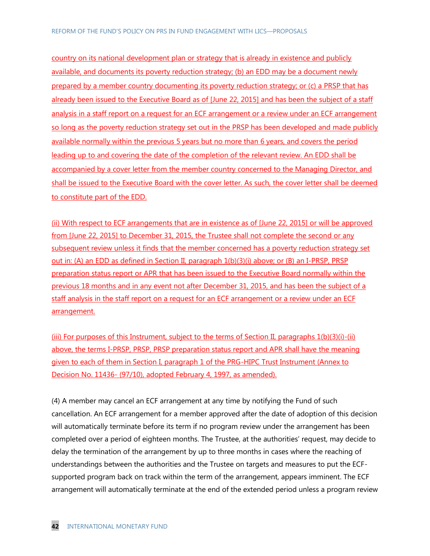country on its national development plan or strategy that is already in existence and publicly available, and documents its poverty reduction strategy; (b) an EDD may be a document newly prepared by a member country documenting its poverty reduction strategy; or (c) a PRSP that has already been issued to the Executive Board as of [June 22, 2015] and has been the subject of a staff analysis in a staff report on a request for an ECF arrangement or a review under an ECF arrangement so long as the poverty reduction strategy set out in the PRSP has been developed and made publicly available normally within the previous 5 years but no more than 6 years, and covers the period leading up to and covering the date of the completion of the relevant review. An EDD shall be accompanied by a cover letter from the member country concerned to the Managing Director, and shall be issued to the Executive Board with the cover letter. As such, the cover letter shall be deemed to constitute part of the EDD.

(ii) With respect to ECF arrangements that are in existence as of [June 22, 2015] or will be approved from [June 22, 2015] to December 31, 2015, the Trustee shall not complete the second or any subsequent review unless it finds that the member concerned has a poverty reduction strategy set out in: (A) an EDD as defined in Section II, paragraph 1(b)(3)(i) above; or (B) an I-PRSP, PRSP preparation status report or APR that has been issued to the Executive Board normally within the previous 18 months and in any event not after December 31, 2015, and has been the subject of a staff analysis in the staff report on a request for an ECF arrangement or a review under an ECF arrangement.

(iii) For purposes of this Instrument, subject to the terms of Section II, paragraphs 1(b)(3)(i)-(ii) above, the terms I-PRSP, PRSP, PRSP preparation status report and APR shall have the meaning given to each of them in Section I, paragraph 1 of the PRG-HIPC Trust Instrument (Annex to Decision No. 11436- (97/10), adopted February 4, 1997, as amended).

(4) A member may cancel an ECF arrangement at any time by notifying the Fund of such cancellation. An ECF arrangement for a member approved after the date of adoption of this decision will automatically terminate before its term if no program review under the arrangement has been completed over a period of eighteen months. The Trustee, at the authorities' request, may decide to delay the termination of the arrangement by up to three months in cases where the reaching of understandings between the authorities and the Trustee on targets and measures to put the ECFsupported program back on track within the term of the arrangement, appears imminent. The ECF arrangement will automatically terminate at the end of the extended period unless a program review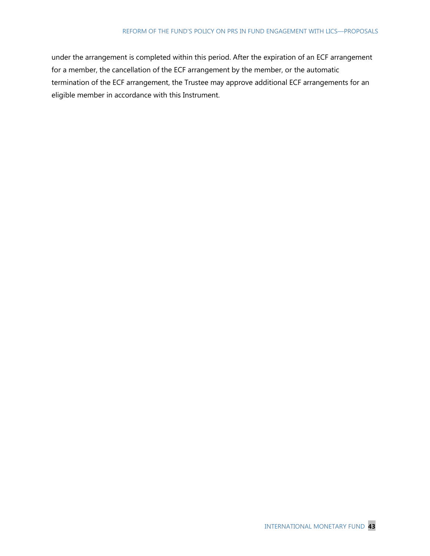under the arrangement is completed within this period. After the expiration of an ECF arrangement for a member, the cancellation of the ECF arrangement by the member, or the automatic termination of the ECF arrangement, the Trustee may approve additional ECF arrangements for an eligible member in accordance with this Instrument.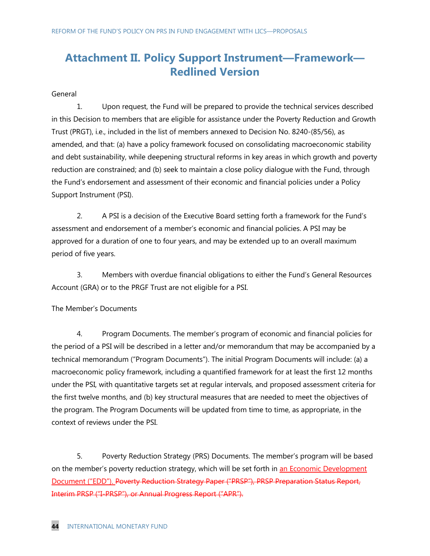## **Attachment II. Policy Support Instrument—Framework— Redlined Version**

#### General

1. Upon request, the Fund will be prepared to provide the technical services described in this Decision to members that are eligible for assistance under the Poverty Reduction and Growth Trust (PRGT), i.e., included in the list of members annexed to Decision No. 8240-(85/56), as amended, and that: (a) have a policy framework focused on consolidating macroeconomic stability and debt sustainability, while deepening structural reforms in key areas in which growth and poverty reduction are constrained; and (b) seek to maintain a close policy dialogue with the Fund, through the Fund's endorsement and assessment of their economic and financial policies under a Policy Support Instrument (PSI).

2. A PSI is a decision of the Executive Board setting forth a framework for the Fund's assessment and endorsement of a member's economic and financial policies. A PSI may be approved for a duration of one to four years, and may be extended up to an overall maximum period of five years.

3. Members with overdue financial obligations to either the Fund's General Resources Account (GRA) or to the PRGF Trust are not eligible for a PSI.

#### The Member's Documents

4. Program Documents. The member's program of economic and financial policies for the period of a PSI will be described in a letter and/or memorandum that may be accompanied by a technical memorandum ("Program Documents"). The initial Program Documents will include: (a) a macroeconomic policy framework, including a quantified framework for at least the first 12 months under the PSI, with quantitative targets set at regular intervals, and proposed assessment criteria for the first twelve months, and (b) key structural measures that are needed to meet the objectives of the program. The Program Documents will be updated from time to time, as appropriate, in the context of reviews under the PSI.

5. Poverty Reduction Strategy (PRS) Documents. The member's program will be based on the member's poverty reduction strategy, which will be set forth in an Economic Development Document ("EDD"). Poverty Reduction Strategy Paper ("PRSP"), PRSP Preparation Status Report, Interim PRSP ("I-PRSP"), or Annual Progress Report ("APR").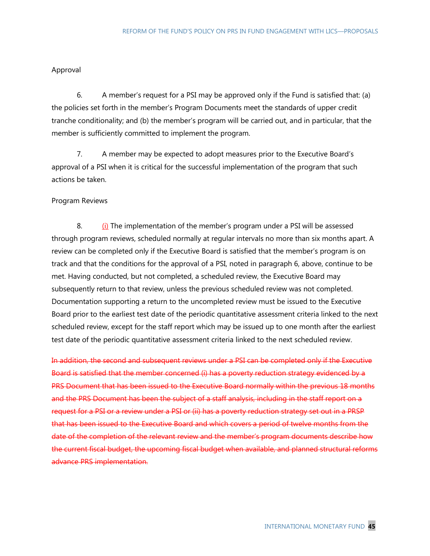#### Approval

6. A member's request for a PSI may be approved only if the Fund is satisfied that: (a) the policies set forth in the member's Program Documents meet the standards of upper credit tranche conditionality; and (b) the member's program will be carried out, and in particular, that the member is sufficiently committed to implement the program.

7. A member may be expected to adopt measures prior to the Executive Board's approval of a PSI when it is critical for the successful implementation of the program that such actions be taken.

#### Program Reviews

8.  $(i)$  The implementation of the member's program under a PSI will be assessed through program reviews, scheduled normally at regular intervals no more than six months apart. A review can be completed only if the Executive Board is satisfied that the member's program is on track and that the conditions for the approval of a PSI, noted in paragraph 6, above, continue to be met. Having conducted, but not completed, a scheduled review, the Executive Board may subsequently return to that review, unless the previous scheduled review was not completed. Documentation supporting a return to the uncompleted review must be issued to the Executive Board prior to the earliest test date of the periodic quantitative assessment criteria linked to the next scheduled review, except for the staff report which may be issued up to one month after the earliest test date of the periodic quantitative assessment criteria linked to the next scheduled review.

In addition, the second and subsequent reviews under a PSI can be completed only if the Executive Board is satisfied that the member concerned (i) has a poverty reduction strategy evidenced by a PRS Document that has been issued to the Executive Board normally within the previous 18 months and the PRS Document has been the subject of a staff analysis, including in the staff report on a request for a PSI or a review under a PSI or (ii) has a poverty reduction strategy set out in a PRSP that has been issued to the Executive Board and which covers a period of twelve months from the date of the completion of the relevant review and the member's program documents describe how the current fiscal budget, the upcoming fiscal budget when available, and planned structural reforms advance PRS implementation.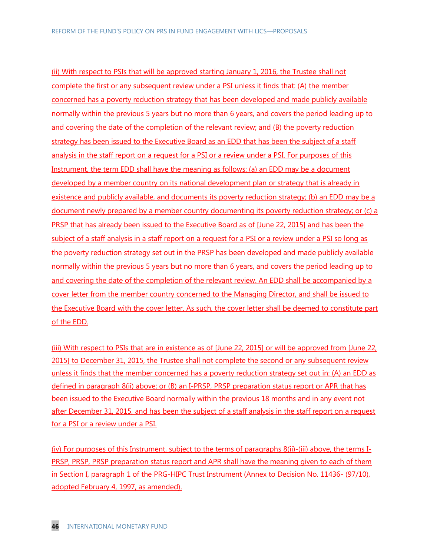(ii) With respect to PSIs that will be approved starting January 1, 2016, the Trustee shall not complete the first or any subsequent review under a PSI unless it finds that: (A) the member concerned has a poverty reduction strategy that has been developed and made publicly available normally within the previous 5 years but no more than 6 years, and covers the period leading up to and covering the date of the completion of the relevant review; and (B) the poverty reduction strategy has been issued to the Executive Board as an EDD that has been the subject of a staff analysis in the staff report on a request for a PSI or a review under a PSI. For purposes of this Instrument, the term EDD shall have the meaning as follows: (a) an EDD may be a document developed by a member country on its national development plan or strategy that is already in existence and publicly available, and documents its poverty reduction strategy; (b) an EDD may be a document newly prepared by a member country documenting its poverty reduction strategy; or (c) a PRSP that has already been issued to the Executive Board as of [June 22, 2015] and has been the subject of a staff analysis in a staff report on a request for a PSI or a review under a PSI so long as the poverty reduction strategy set out in the PRSP has been developed and made publicly available normally within the previous 5 years but no more than 6 years, and covers the period leading up to and covering the date of the completion of the relevant review. An EDD shall be accompanied by a cover letter from the member country concerned to the Managing Director, and shall be issued to the Executive Board with the cover letter. As such, the cover letter shall be deemed to constitute part of the EDD.

(iii) With respect to PSIs that are in existence as of [June 22, 2015] or will be approved from [June 22, 2015] to December 31, 2015, the Trustee shall not complete the second or any subsequent review unless it finds that the member concerned has a poverty reduction strategy set out in: (A) an EDD as defined in paragraph 8(ii) above; or (B) an I-PRSP, PRSP preparation status report or APR that has been issued to the Executive Board normally within the previous 18 months and in any event not after December 31, 2015, and has been the subject of a staff analysis in the staff report on a request for a PSI or a review under a PSI.

(iv) For purposes of this Instrument, subject to the terms of paragraphs 8(ii)-(iii) above, the terms I-PRSP, PRSP, PRSP preparation status report and APR shall have the meaning given to each of them in Section I, paragraph 1 of the PRG-HIPC Trust Instrument (Annex to Decision No. 11436- (97/10), adopted February 4, 1997, as amended).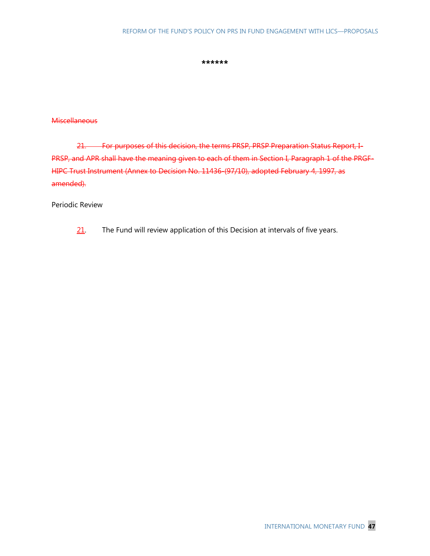**\*\*\*\*\*\***

#### **Miscellaneous**

21. For purposes of this decision, the terms PRSP, PRSP Preparation Status Report, I-PRSP, and APR shall have the meaning given to each of them in Section I, Paragraph 1 of the PRGF-HIPC Trust Instrument (Annex to Decision No. 11436-(97/10), adopted February 4, 1997, as amended).

Periodic Review

21. The Fund will review application of this Decision at intervals of five years.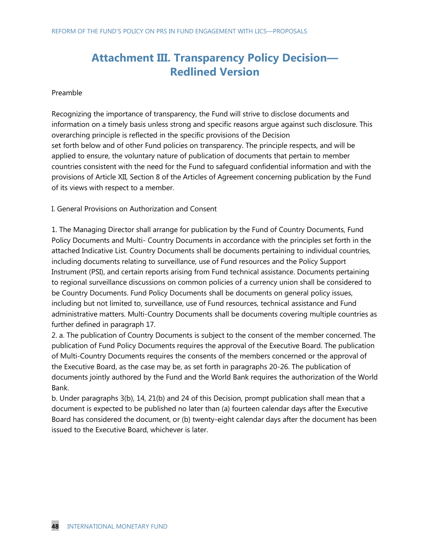## **Attachment III. Transparency Policy Decision— Redlined Version**

#### Preamble

Recognizing the importance of transparency, the Fund will strive to disclose documents and information on a timely basis unless strong and specific reasons argue against such disclosure. This overarching principle is reflected in the specific provisions of the Decision set forth below and of other Fund policies on transparency. The principle respects, and will be applied to ensure, the voluntary nature of publication of documents that pertain to member countries consistent with the need for the Fund to safeguard confidential information and with the provisions of Article XII, Section 8 of the Articles of Agreement concerning publication by the Fund of its views with respect to a member.

I. General Provisions on Authorization and Consent

1. The Managing Director shall arrange for publication by the Fund of Country Documents, Fund Policy Documents and Multi- Country Documents in accordance with the principles set forth in the attached Indicative List. Country Documents shall be documents pertaining to individual countries, including documents relating to surveillance, use of Fund resources and the Policy Support Instrument (PSI), and certain reports arising from Fund technical assistance. Documents pertaining to regional surveillance discussions on common policies of a currency union shall be considered to be Country Documents. Fund Policy Documents shall be documents on general policy issues, including but not limited to, surveillance, use of Fund resources, technical assistance and Fund administrative matters. Multi-Country Documents shall be documents covering multiple countries as further defined in paragraph 17.

2. a. The publication of Country Documents is subject to the consent of the member concerned. The publication of Fund Policy Documents requires the approval of the Executive Board. The publication of Multi-Country Documents requires the consents of the members concerned or the approval of the Executive Board, as the case may be, as set forth in paragraphs 20-26. The publication of documents jointly authored by the Fund and the World Bank requires the authorization of the World Bank.

b. Under paragraphs 3(b), 14, 21(b) and 24 of this Decision, prompt publication shall mean that a document is expected to be published no later than (a) fourteen calendar days after the Executive Board has considered the document, or (b) twenty-eight calendar days after the document has been issued to the Executive Board, whichever is later.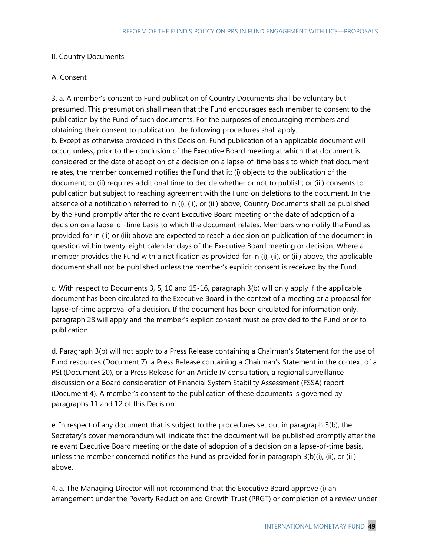#### II. Country Documents

#### A. Consent

3. a. A member's consent to Fund publication of Country Documents shall be voluntary but presumed. This presumption shall mean that the Fund encourages each member to consent to the publication by the Fund of such documents. For the purposes of encouraging members and obtaining their consent to publication, the following procedures shall apply. b. Except as otherwise provided in this Decision, Fund publication of an applicable document will occur, unless, prior to the conclusion of the Executive Board meeting at which that document is considered or the date of adoption of a decision on a lapse-of-time basis to which that document relates, the member concerned notifies the Fund that it: (i) objects to the publication of the document; or (ii) requires additional time to decide whether or not to publish; or (iii) consents to publication but subject to reaching agreement with the Fund on deletions to the document. In the absence of a notification referred to in (i), (ii), or (iii) above, Country Documents shall be published by the Fund promptly after the relevant Executive Board meeting or the date of adoption of a decision on a lapse-of-time basis to which the document relates. Members who notify the Fund as provided for in (ii) or (iii) above are expected to reach a decision on publication of the document in question within twenty-eight calendar days of the Executive Board meeting or decision. Where a member provides the Fund with a notification as provided for in (i), (ii), or (iii) above, the applicable document shall not be published unless the member's explicit consent is received by the Fund.

c. With respect to Documents 3, 5, 10 and 15-16, paragraph 3(b) will only apply if the applicable document has been circulated to the Executive Board in the context of a meeting or a proposal for lapse-of-time approval of a decision. If the document has been circulated for information only, paragraph 28 will apply and the member's explicit consent must be provided to the Fund prior to publication.

d. Paragraph 3(b) will not apply to a Press Release containing a Chairman's Statement for the use of Fund resources (Document 7), a Press Release containing a Chairman's Statement in the context of a PSI (Document 20), or a Press Release for an Article IV consultation, a regional surveillance discussion or a Board consideration of Financial System Stability Assessment (FSSA) report (Document 4). A member's consent to the publication of these documents is governed by paragraphs 11 and 12 of this Decision.

e. In respect of any document that is subject to the procedures set out in paragraph 3(b), the Secretary's cover memorandum will indicate that the document will be published promptly after the relevant Executive Board meeting or the date of adoption of a decision on a lapse-of-time basis, unless the member concerned notifies the Fund as provided for in paragraph 3(b)(i), (ii), or (iii) above.

4. a. The Managing Director will not recommend that the Executive Board approve (i) an arrangement under the Poverty Reduction and Growth Trust (PRGT) or completion of a review under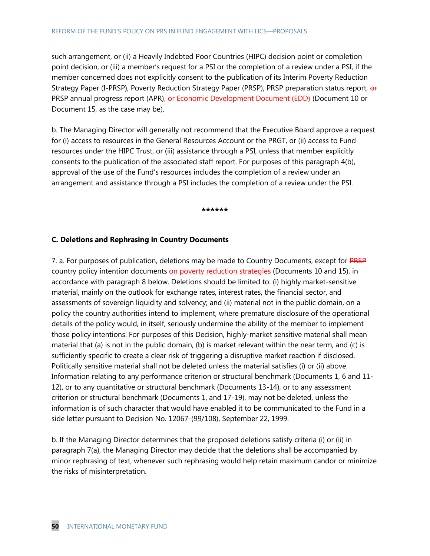such arrangement, or (ii) a Heavily Indebted Poor Countries (HIPC) decision point or completion point decision, or (iii) a member's request for a PSI or the completion of a review under a PSI, if the member concerned does not explicitly consent to the publication of its Interim Poverty Reduction Strategy Paper (I-PRSP), Poverty Reduction Strategy Paper (PRSP), PRSP preparation status report, or PRSP annual progress report (APR), or Economic Development Document (EDD) (Document 10 or Document 15, as the case may be).

b. The Managing Director will generally not recommend that the Executive Board approve a request for (i) access to resources in the General Resources Account or the PRGT, or (ii) access to Fund resources under the HIPC Trust, or (iii) assistance through a PSI, unless that member explicitly consents to the publication of the associated staff report. For purposes of this paragraph 4(b), approval of the use of the Fund's resources includes the completion of a review under an arrangement and assistance through a PSI includes the completion of a review under the PSI.

**\*\*\*\*\*\***

#### **C. Deletions and Rephrasing in Country Documents**

7. a. For purposes of publication, deletions may be made to Country Documents, except for PRSP country policy intention documents on poverty reduction strategies (Documents 10 and 15), in accordance with paragraph 8 below. Deletions should be limited to: (i) highly market-sensitive material, mainly on the outlook for exchange rates, interest rates, the financial sector, and assessments of sovereign liquidity and solvency; and (ii) material not in the public domain, on a policy the country authorities intend to implement, where premature disclosure of the operational details of the policy would, in itself, seriously undermine the ability of the member to implement those policy intentions. For purposes of this Decision, highly-market sensitive material shall mean material that (a) is not in the public domain, (b) is market relevant within the near term, and (c) is sufficiently specific to create a clear risk of triggering a disruptive market reaction if disclosed. Politically sensitive material shall not be deleted unless the material satisfies (i) or (ii) above. Information relating to any performance criterion or structural benchmark (Documents 1, 6 and 11- 12), or to any quantitative or structural benchmark (Documents 13-14), or to any assessment criterion or structural benchmark (Documents 1, and 17-19), may not be deleted, unless the information is of such character that would have enabled it to be communicated to the Fund in a side letter pursuant to Decision No. 12067-(99/108), September 22, 1999.

b. If the Managing Director determines that the proposed deletions satisfy criteria (i) or (ii) in paragraph 7(a), the Managing Director may decide that the deletions shall be accompanied by minor rephrasing of text, whenever such rephrasing would help retain maximum candor or minimize the risks of misinterpretation.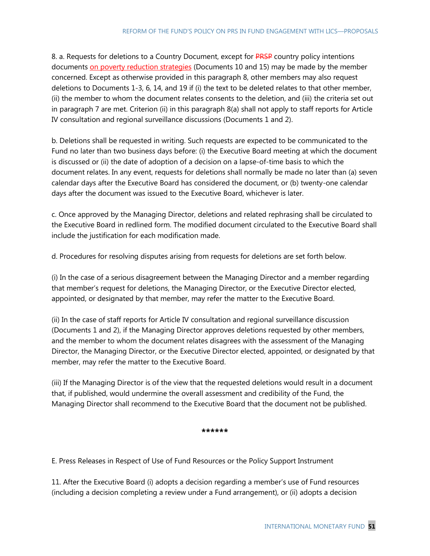8. a. Requests for deletions to a Country Document, except for PRSP country policy intentions documents on poverty reduction strategies (Documents 10 and 15) may be made by the member concerned. Except as otherwise provided in this paragraph 8, other members may also request deletions to Documents 1-3, 6, 14, and 19 if (i) the text to be deleted relates to that other member, (ii) the member to whom the document relates consents to the deletion, and (iii) the criteria set out in paragraph 7 are met. Criterion (ii) in this paragraph 8(a) shall not apply to staff reports for Article IV consultation and regional surveillance discussions (Documents 1 and 2).

b. Deletions shall be requested in writing. Such requests are expected to be communicated to the Fund no later than two business days before: (i) the Executive Board meeting at which the document is discussed or (ii) the date of adoption of a decision on a lapse-of-time basis to which the document relates. In any event, requests for deletions shall normally be made no later than (a) seven calendar days after the Executive Board has considered the document, or (b) twenty-one calendar days after the document was issued to the Executive Board, whichever is later.

c. Once approved by the Managing Director, deletions and related rephrasing shall be circulated to the Executive Board in redlined form. The modified document circulated to the Executive Board shall include the justification for each modification made.

d. Procedures for resolving disputes arising from requests for deletions are set forth below.

(i) In the case of a serious disagreement between the Managing Director and a member regarding that member's request for deletions, the Managing Director, or the Executive Director elected, appointed, or designated by that member, may refer the matter to the Executive Board.

(ii) In the case of staff reports for Article IV consultation and regional surveillance discussion (Documents 1 and 2), if the Managing Director approves deletions requested by other members, and the member to whom the document relates disagrees with the assessment of the Managing Director, the Managing Director, or the Executive Director elected, appointed, or designated by that member, may refer the matter to the Executive Board.

(iii) If the Managing Director is of the view that the requested deletions would result in a document that, if published, would undermine the overall assessment and credibility of the Fund, the Managing Director shall recommend to the Executive Board that the document not be published.

#### **\*\*\*\*\*\***

E. Press Releases in Respect of Use of Fund Resources or the Policy Support Instrument

11. After the Executive Board (i) adopts a decision regarding a member's use of Fund resources (including a decision completing a review under a Fund arrangement), or (ii) adopts a decision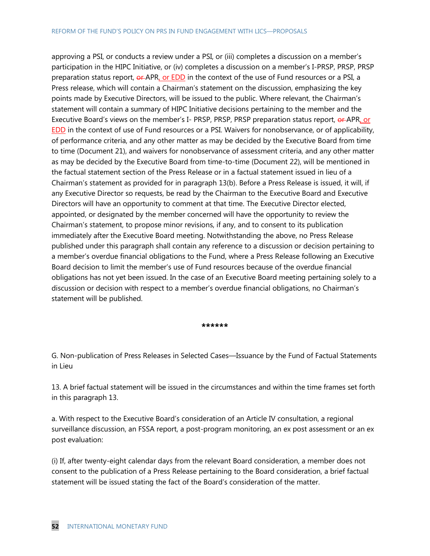approving a PSI, or conducts a review under a PSI, or (iii) completes a discussion on a member's participation in the HIPC Initiative, or (iv) completes a discussion on a member's I-PRSP, PRSP, PRSP preparation status report, or APR, or EDD in the context of the use of Fund resources or a PSI, a Press release, which will contain a Chairman's statement on the discussion, emphasizing the key points made by Executive Directors, will be issued to the public. Where relevant, the Chairman's statement will contain a summary of HIPC Initiative decisions pertaining to the member and the Executive Board's views on the member's I- PRSP, PRSP, PRSP preparation status report, or APR, or EDD in the context of use of Fund resources or a PSI. Waivers for nonobservance, or of applicability, of performance criteria, and any other matter as may be decided by the Executive Board from time to time (Document 21), and waivers for nonobservance of assessment criteria, and any other matter as may be decided by the Executive Board from time-to-time (Document 22), will be mentioned in the factual statement section of the Press Release or in a factual statement issued in lieu of a Chairman's statement as provided for in paragraph 13(b). Before a Press Release is issued, it will, if any Executive Director so requests, be read by the Chairman to the Executive Board and Executive Directors will have an opportunity to comment at that time. The Executive Director elected, appointed, or designated by the member concerned will have the opportunity to review the Chairman's statement, to propose minor revisions, if any, and to consent to its publication immediately after the Executive Board meeting. Notwithstanding the above, no Press Release published under this paragraph shall contain any reference to a discussion or decision pertaining to a member's overdue financial obligations to the Fund, where a Press Release following an Executive Board decision to limit the member's use of Fund resources because of the overdue financial obligations has not yet been issued. In the case of an Executive Board meeting pertaining solely to a discussion or decision with respect to a member's overdue financial obligations, no Chairman's statement will be published.

**\*\*\*\*\*\***

G. Non-publication of Press Releases in Selected Cases—Issuance by the Fund of Factual Statements in Lieu

13. A brief factual statement will be issued in the circumstances and within the time frames set forth in this paragraph 13.

a. With respect to the Executive Board's consideration of an Article IV consultation, a regional surveillance discussion, an FSSA report, a post-program monitoring, an ex post assessment or an ex post evaluation:

(i) If, after twenty-eight calendar days from the relevant Board consideration, a member does not consent to the publication of a Press Release pertaining to the Board consideration, a brief factual statement will be issued stating the fact of the Board's consideration of the matter.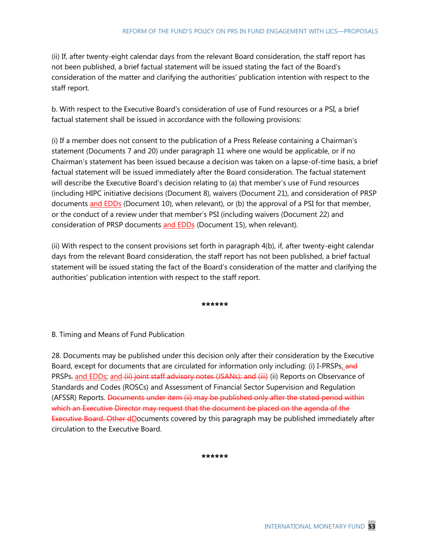(ii) If, after twenty-eight calendar days from the relevant Board consideration, the staff report has not been published, a brief factual statement will be issued stating the fact of the Board's consideration of the matter and clarifying the authorities' publication intention with respect to the staff report.

b. With respect to the Executive Board's consideration of use of Fund resources or a PSI, a brief factual statement shall be issued in accordance with the following provisions:

(i) If a member does not consent to the publication of a Press Release containing a Chairman's statement (Documents 7 and 20) under paragraph 11 where one would be applicable, or if no Chairman's statement has been issued because a decision was taken on a lapse-of-time basis, a brief factual statement will be issued immediately after the Board consideration. The factual statement will describe the Executive Board's decision relating to (a) that member's use of Fund resources (including HIPC initiative decisions (Document 8), waivers (Document 21), and consideration of PRSP documents and EDDs (Document 10), when relevant), or (b) the approval of a PSI for that member, or the conduct of a review under that member's PSI (including waivers (Document 22) and consideration of PRSP documents and EDDs (Document 15), when relevant).

(ii) With respect to the consent provisions set forth in paragraph 4(b), if, after twenty-eight calendar days from the relevant Board consideration, the staff report has not been published, a brief factual statement will be issued stating the fact of the Board's consideration of the matter and clarifying the authorities' publication intention with respect to the staff report.

**\*\*\*\*\*\***

B. Timing and Means of Fund Publication

28. Documents may be published under this decision only after their consideration by the Executive Board, except for documents that are circulated for information only including: (i) I-PRSPs, and PRSPs, and EDDs; and (ii) joint staff advisory notes (JSANs); and (iii) (ii) Reports on Observance of Standards and Codes (ROSCs) and Assessment of Financial Sector Supervision and Regulation (AFSSR) Reports. Documents under item (ii) may be published only after the stated period within which an Executive Director may request that the document be placed on the agenda of the Executive Board. Other dDocuments covered by this paragraph may be published immediately after circulation to the Executive Board.

**\*\*\*\*\*\***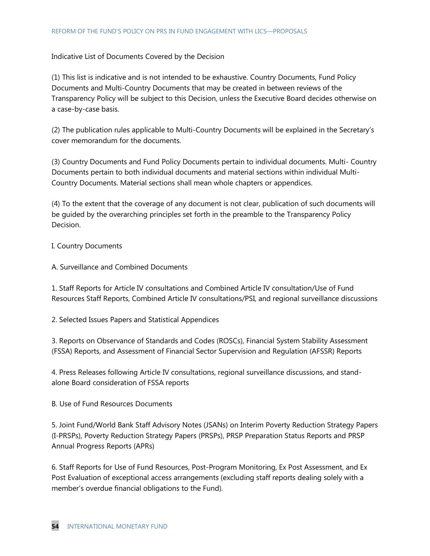Indicative List of Documents Covered by the Decision

(1) This list is indicative and is not intended to be exhaustive. Country Documents, Fund Policy Documents and Multi-Country Documents that may be created in between reviews of the Transparency Policy will be subject to this Decision, unless the Executive Board decides otherwise on a case-by-case basis.

(2) The publication rules applicable to Multi-Country Documents will be explained in the Secretary's cover memorandum for the documents.

(3) Country Documents and Fund Policy Documents pertain to individual documents. Multi- Country Documents pertain to both individual documents and material sections within individual Multi-Country Documents. Material sections shall mean whole chapters or appendices.

(4) To the extent that the coverage of any document is not clear, publication of such documents will be guided by the overarching principles set forth in the preamble to the Transparency Policy Decision.

I. Country Documents

A. Surveillance and Combined Documents

1. Staff Reports for Article IV consultations and Combined Article IV consultation/Use of Fund Resources Staff Reports, Combined Article IV consultations/PSI, and regional surveillance discussions

2. Selected Issues Papers and Statistical Appendices

3. Reports on Observance of Standards and Codes (ROSCs), Financial System Stability Assessment (FSSA) Reports, and Assessment of Financial Sector Supervision and Regulation (AFSSR) Reports

4. Press Releases following Article IV consultations, regional surveillance discussions, and standalone Board consideration of FSSA reports

B. Use of Fund Resources Documents

5. Joint Fund/World Bank Staff Advisory Notes (JSANs) on Interim Poverty Reduction Strategy Papers (I-PRSPs), Poverty Reduction Strategy Papers (PRSPs), PRSP Preparation Status Reports and PRSP Annual Progress Reports (APRs)

6. Staff Reports for Use of Fund Resources, Post-Program Monitoring, Ex Post Assessment, and Ex Post Evaluation of exceptional access arrangements (excluding staff reports dealing solely with a member's overdue financial obligations to the Fund).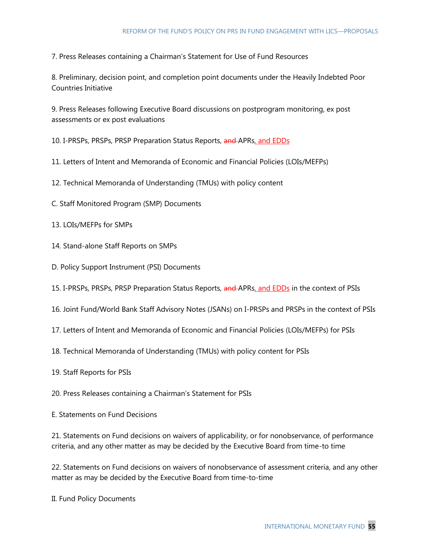7. Press Releases containing a Chairman's Statement for Use of Fund Resources

8. Preliminary, decision point, and completion point documents under the Heavily Indebted Poor Countries Initiative

9. Press Releases following Executive Board discussions on postprogram monitoring, ex post assessments or ex post evaluations

10. I-PRSPs, PRSPs, PRSP Preparation Status Reports, and APRs, and EDDs

11. Letters of Intent and Memoranda of Economic and Financial Policies (LOIs/MEFPs)

12. Technical Memoranda of Understanding (TMUs) with policy content

- C. Staff Monitored Program (SMP) Documents
- 13. LOIs/MEFPs for SMPs
- 14. Stand-alone Staff Reports on SMPs
- D. Policy Support Instrument (PSI) Documents
- 15. I-PRSPs, PRSPs, PRSP Preparation Status Reports, and APRs, and EDDs in the context of PSIs
- 16. Joint Fund/World Bank Staff Advisory Notes (JSANs) on I-PRSPs and PRSPs in the context of PSIs
- 17. Letters of Intent and Memoranda of Economic and Financial Policies (LOIs/MEFPs) for PSIs
- 18. Technical Memoranda of Understanding (TMUs) with policy content for PSIs
- 19. Staff Reports for PSIs
- 20. Press Releases containing a Chairman's Statement for PSIs
- E. Statements on Fund Decisions

21. Statements on Fund decisions on waivers of applicability, or for nonobservance, of performance criteria, and any other matter as may be decided by the Executive Board from time-to time

22. Statements on Fund decisions on waivers of nonobservance of assessment criteria, and any other matter as may be decided by the Executive Board from time-to-time

II. Fund Policy Documents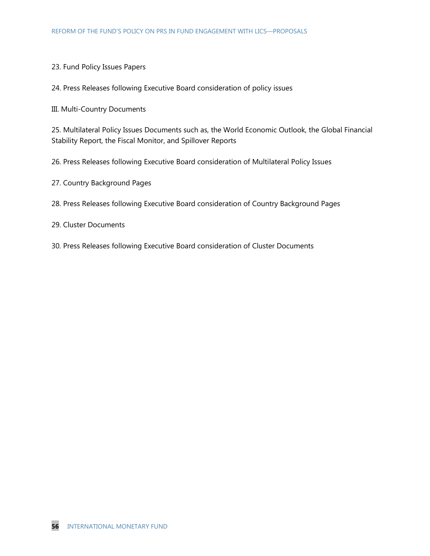- 23. Fund Policy Issues Papers
- 24. Press Releases following Executive Board consideration of policy issues
- III. Multi-Country Documents

25. Multilateral Policy Issues Documents such as, the World Economic Outlook, the Global Financial Stability Report, the Fiscal Monitor, and Spillover Reports

- 26. Press Releases following Executive Board consideration of Multilateral Policy Issues
- 27. Country Background Pages
- 28. Press Releases following Executive Board consideration of Country Background Pages
- 29. Cluster Documents
- 30. Press Releases following Executive Board consideration of Cluster Documents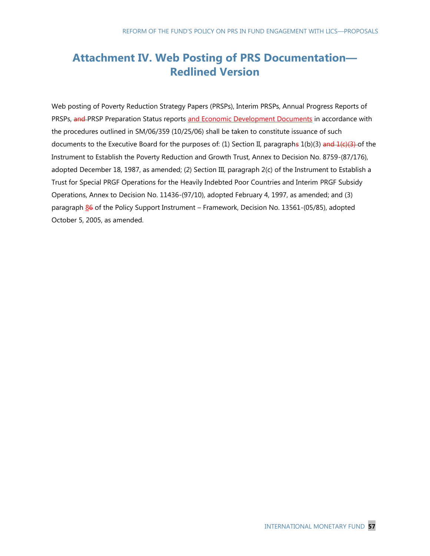## **Attachment IV. Web Posting of PRS Documentation— Redlined Version**

Web posting of Poverty Reduction Strategy Papers (PRSPs), Interim PRSPs, Annual Progress Reports of PRSPs, and PRSP Preparation Status reports and Economic Development Documents in accordance with the procedures outlined in SM/06/359 (10/25/06) shall be taken to constitute issuance of such documents to the Executive Board for the purposes of: (1) Section II, paragraphs  $1(b)(3)$  and  $1(c)(3)$ -of the Instrument to Establish the Poverty Reduction and Growth Trust, Annex to Decision No. 8759-(87/176), adopted December 18, 1987, as amended; (2) Section III, paragraph 2(c) of the Instrument to Establish a Trust for Special PRGF Operations for the Heavily Indebted Poor Countries and Interim PRGF Subsidy Operations, Annex to Decision No. 11436-(97/10), adopted February 4, 1997, as amended; and (3) paragraph 86 of the Policy Support Instrument – Framework, Decision No. 13561-(05/85), adopted October 5, 2005, as amended.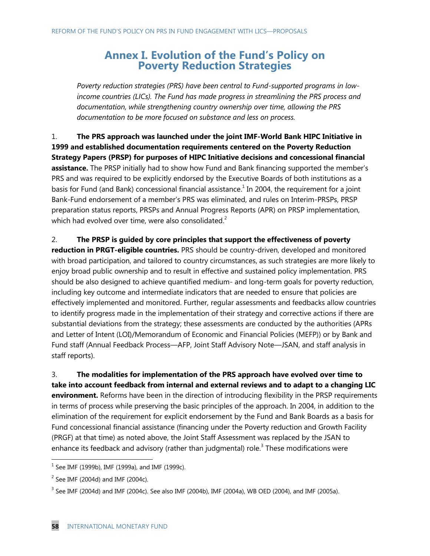## **Annex I. Evolution of the Fund's Policy on Poverty Reduction Strategies**

*Poverty reduction strategies (PRS) have been central to Fund-supported programs in lowincome countries (LICs). The Fund has made progress in streamlining the PRS process and documentation, while strengthening country ownership over time, allowing the PRS documentation to be more focused on substance and less on process.*

1. **The PRS approach was launched under the joint IMF-World Bank HIPC Initiative in 1999 and established documentation requirements centered on the Poverty Reduction Strategy Papers (PRSP) for purposes of HIPC Initiative decisions and concessional financial assistance.** The PRSP initially had to show how Fund and Bank financing supported the member's PRS and was required to be explicitly endorsed by the Executive Boards of both institutions as a basis for Fund (and Bank) concessional financial assistance.<sup>1</sup> In 2004, the requirement for a joint Bank-Fund endorsement of a member's PRS was eliminated, and rules on Interim-PRSPs, PRSP preparation status reports, PRSPs and Annual Progress Reports (APR) on PRSP implementation, which had evolved over time, were also consolidated.<sup>2</sup>

2. **The PRSP is guided by core principles that support the effectiveness of poverty reduction in PRGT-eligible countries.** PRS should be country-driven, developed and monitored with broad participation, and tailored to country circumstances, as such strategies are more likely to enjoy broad public ownership and to result in effective and sustained policy implementation. PRS should be also designed to achieve quantified medium- and long-term goals for poverty reduction, including key outcome and intermediate indicators that are needed to ensure that policies are effectively implemented and monitored. Further, regular assessments and feedbacks allow countries to identify progress made in the implementation of their strategy and corrective actions if there are substantial deviations from the strategy; these assessments are conducted by the authorities (APRs and Letter of Intent (LOI)/Memorandum of Economic and Financial Policies (MEFP)) or by Bank and Fund staff (Annual Feedback Process—AFP, Joint Staff Advisory Note—JSAN, and staff analysis in staff reports).

3. **The modalities for implementation of the PRS approach have evolved over time to take into account feedback from internal and external reviews and to adapt to a changing LIC environment.** Reforms have been in the direction of introducing flexibility in the PRSP requirements in terms of process while preserving the basic principles of the approach. In 2004, in addition to the elimination of the requirement for explicit endorsement by the Fund and Bank Boards as a basis for Fund concessional financial assistance (financing under the Poverty reduction and Growth Facility (PRGF) at that time) as noted above, the Joint Staff Assessment was replaced by the JSAN to enhance its feedback and advisory (rather than judgmental) role.<sup>3</sup> These modifications were

 $^{1}$  See IMF (1999b), IMF (1999a), and IMF (1999c).

 $2$  See IMF (2004d) and IMF (2004c).

 $3$  See IMF (2004d) and IMF (2004c). See also IMF (2004b), IMF (2004a), WB OED (2004), and IMF (2005a).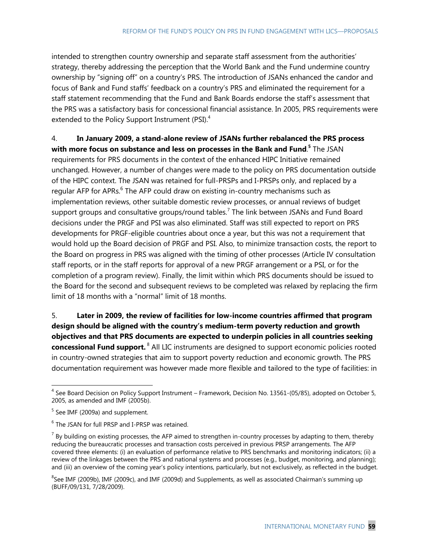intended to strengthen country ownership and separate staff assessment from the authorities' strategy, thereby addressing the perception that the World Bank and the Fund undermine country ownership by "signing off" on a country's PRS. The introduction of JSANs enhanced the candor and focus of Bank and Fund staffs' feedback on a country's PRS and eliminated the requirement for a staff statement recommending that the Fund and Bank Boards endorse the staff's assessment that the PRS was a satisfactory basis for concessional financial assistance. In 2005, PRS requirements were extended to the Policy Support Instrument (PSI).<sup>4</sup>

4. **In January 2009, a stand-alone review of JSANs further rebalanced the PRS process with more focus on substance and less on processes in the Bank and Fund**. **5** The JSAN requirements for PRS documents in the context of the enhanced HIPC Initiative remained unchanged. However, a number of changes were made to the policy on PRS documentation outside of the HIPC context. The JSAN was retained for full-PRSPs and I-PRSPs only, and replaced by a regular AFP for APRs.<sup>6</sup> The AFP could draw on existing in-country mechanisms such as implementation reviews, other suitable domestic review processes, or annual reviews of budget support groups and consultative groups/round tables.<sup>7</sup> The link between JSANs and Fund Board decisions under the PRGF and PSI was also eliminated. Staff was still expected to report on PRS developments for PRGF-eligible countries about once a year, but this was not a requirement that would hold up the Board decision of PRGF and PSI. Also, to minimize transaction costs, the report to the Board on progress in PRS was aligned with the timing of other processes (Article IV consultation staff reports, or in the staff reports for approval of a new PRGF arrangement or a PSI, or for the completion of a program review). Finally, the limit within which PRS documents should be issued to the Board for the second and subsequent reviews to be completed was relaxed by replacing the firm limit of 18 months with a "normal" limit of 18 months.

5. **Later in 2009, the review of facilities for low-income countries affirmed that program design should be aligned with the country's medium-term poverty reduction and growth objectives and that PRS documents are expected to underpin policies in all countries seeking concessional Fund support.** <sup>8</sup> All LIC instruments are designed to support economic policies rooted in country-owned strategies that aim to support poverty reduction and economic growth. The PRS documentation requirement was however made more flexible and tailored to the type of facilities: in

<sup>&</sup>lt;sup>4</sup> See Board Decision on Policy Support Instrument – Framework, Decision No. 13561-(05/85), adopted on October 5, 2005, as amended and IMF (2005b).

<sup>&</sup>lt;sup>5</sup> See IMF (2009a) and supplement.

 $6$  The JSAN for full PRSP and I-PRSP was retained.

 $^7$  By building on existing processes, the AFP aimed to strengthen in-country processes by adapting to them, thereby reducing the bureaucratic processes and transaction costs perceived in previous PRSP arrangements. The AFP covered three elements: (i) an evaluation of performance relative to PRS benchmarks and monitoring indicators; (ii) a review of the linkages between the PRS and national systems and processes (e.g., budget, monitoring, and planning); and (iii) an overview of the coming year's policy intentions, particularly, but not exclusively, as reflected in the budget.

<sup>&</sup>lt;sup>8</sup>See IMF (2009b), IMF (2009c), and IMF (2009d) and Supplements, as well as associated Chairman's summing up (BUFF/09/131, 7/28/2009).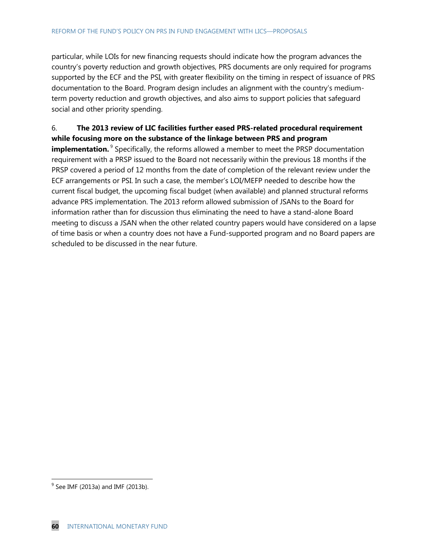particular, while LOIs for new financing requests should indicate how the program advances the country's poverty reduction and growth objectives, PRS documents are only required for programs supported by the ECF and the PSI, with greater flexibility on the timing in respect of issuance of PRS documentation to the Board. Program design includes an alignment with the country's mediumterm poverty reduction and growth objectives, and also aims to support policies that safeguard social and other priority spending.

#### 6. **The 2013 review of LIC facilities further eased PRS-related procedural requirement while focusing more on the substance of the linkage between PRS and program**

**implementation.** <sup>9</sup> Specifically, the reforms allowed a member to meet the PRSP documentation requirement with a PRSP issued to the Board not necessarily within the previous 18 months if the PRSP covered a period of 12 months from the date of completion of the relevant review under the ECF arrangements or PSI. In such a case, the member's LOI/MEFP needed to describe how the current fiscal budget, the upcoming fiscal budget (when available) and planned structural reforms advance PRS implementation. The 2013 reform allowed submission of JSANs to the Board for information rather than for discussion thus eliminating the need to have a stand-alone Board meeting to discuss a JSAN when the other related country papers would have considered on a lapse of time basis or when a country does not have a Fund-supported program and no Board papers are scheduled to be discussed in the near future.

 $9$  See IMF (2013a) and IMF (2013b).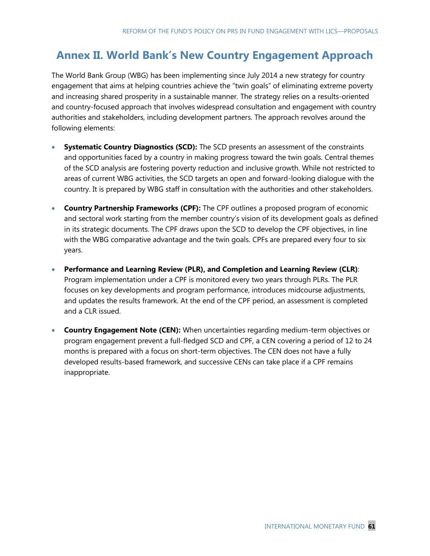## **Annex II. World Bank's New Country Engagement Approach**

The World Bank Group (WBG) has been implementing since July 2014 a new strategy for country engagement that aims at helping countries achieve the "twin goals" of eliminating extreme poverty and increasing shared prosperity in a sustainable manner. The strategy relies on a results-oriented and country-focused approach that involves widespread consultation and engagement with country authorities and stakeholders, including development partners. The approach revolves around the following elements:

- **Systematic Country Diagnostics (SCD):** The SCD presents an assessment of the constraints and opportunities faced by a country in making progress toward the twin goals. Central themes of the SCD analysis are fostering poverty reduction and inclusive growth. While not restricted to areas of current WBG activities, the SCD targets an open and forward-looking dialogue with the country. It is prepared by WBG staff in consultation with the authorities and other stakeholders.
- **Country Partnership Frameworks (CPF):** The CPF outlines a proposed program of economic and sectoral work starting from the member country's vision of its development goals as defined in its strategic documents. The CPF draws upon the SCD to develop the CPF objectives, in line with the WBG comparative advantage and the twin goals. CPFs are prepared every four to six years.
- **Performance and Learning Review (PLR), and Completion and Learning Review (CLR)**: Program implementation under a CPF is monitored every two years through PLRs. The PLR focuses on key developments and program performance, introduces midcourse adjustments, and updates the results framework. At the end of the CPF period, an assessment is completed and a CLR issued.
- **Country Engagement Note (CEN):** When uncertainties regarding medium-term objectives or program engagement prevent a full-fledged SCD and CPF, a CEN covering a period of 12 to 24 months is prepared with a focus on short-term objectives. The CEN does not have a fully developed results-based framework, and successive CENs can take place if a CPF remains inappropriate.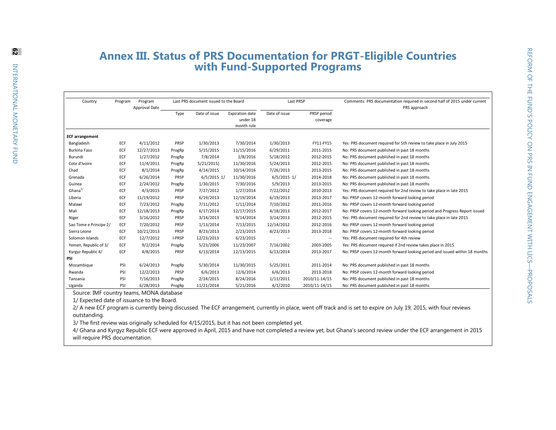## **Annex III. Status of PRS Documentation for PRGT-Eligible Countries with Fund-Supported Programs**

| Country                | Program | Program<br>Approval Date | Last PRS document issued to the Board |               |                 | Last PRSP     |                          | Comments: PRS documentation required in second half of 2015 under current<br>PRS approach |
|------------------------|---------|--------------------------|---------------------------------------|---------------|-----------------|---------------|--------------------------|-------------------------------------------------------------------------------------------|
|                        |         |                          | Type                                  | Date of issue | Expiration date | Date of issue | PRSP period              |                                                                                           |
|                        |         |                          |                                       |               | under 18        |               | coverage                 |                                                                                           |
|                        |         |                          |                                       |               | month rule      |               |                          |                                                                                           |
| <b>ECF arrangement</b> |         |                          |                                       |               |                 |               |                          |                                                                                           |
| Bangladesh             | ECF     | 4/11/2012                | <b>PRSP</b>                           | 1/30/2013     | 7/30/2014       | 1/30/2013     | FY11-FY15                | Yes: PRS document required for 5th review to take place in July 2015                      |
| <b>Burkina Faso</b>    | ECF     | 12/27/2013               | ProgRp                                | 5/15/2015     | 11/15/2016      | 6/29/2011     | 2011-2015                | No: PRS document published in past 18 months                                              |
| Burundi                | ECF     | 1/27/2012                | ProgRp                                | 7/8/2014      | 1/8/2016        | 5/18/2012     | 2012-2015                | No: PRS document published in past 18 months                                              |
| Cote d'Ivoire          | ECF     | 11/4/2011                | ProgRp                                | 5/21/2015     | 11/30/2016      | 5/24/2013     | 2012-2015                | No: PRS document published in past 18 months                                              |
| Chad                   | ECF     | 8/1/2014                 | ProgRp                                | 4/14/2015     | 10/14/2016      | 7/26/2013     | 2013-2015                | No: PRS document published in past 18 months                                              |
| Grenada                | ECF     | 6/26/2014                | PRSP                                  | $6/5/2015$ 1/ | 11/30/2016      | $6/5/2015$ 1/ | 2014-2018                | No: PRS document published in past 18 months                                              |
| Guinea                 | ECF     | 2/24/2012                | ProgRp                                | 1/30/2015     | 7/30/2016       | 5/9/2013      | 2013-2015                | No: PRS document published in past 18 months                                              |
| Ghana <sup>1/</sup>    | ECF     | 4/3/2015                 | PRSP                                  | 7/27/2012     | 1/27/2014       | 7/22/2012     | 2010-2013                | Yes: PRS document required for 2nd review to take place in late 2015                      |
| Liberia                | ECF     | 11/19/2012               | PRSP                                  | 6/19/2013     | 12/19/2014      | 6/19/2013     | 2013-2017                | No: PRSP covers 12-month forward looking period                                           |
| Malawi                 | ECF     | 7/23/2012                | ProgRp                                | 7/11/2012     | 1/11/2014       | 7/10/2012     | 2011-2016                | No: PRSP covers 12-month forward looking period                                           |
| Mali                   | ECF     | 12/18/2013               | ProgRp                                | 6/17/2014     | 12/17/2015      | 4/18/2013     | 2012-2017                | No: PRSP covers 12-month forward looking period and Progress Report issued                |
| Niger                  | ECF     | 3/16/2012                | PRSP                                  | 3/14/2013     | 9/14/2014       | 3/14/2013     | 2012-2015                | Yes: PRS document required for 2nd review to take place in late 2015                      |
| Sao Tome e Principe 2/ | ECF     | 7/20/2012                | PRSP                                  | 1/13/2014     | 7/13/2015       | 12/14/2012    | 2012-2016                | No: PRSP covers 12-month forward looking period                                           |
| Sierra Leone           | ECF     | 10/21/2013               | PRSP                                  | 8/23/2013     | 2/23/2015       | 8/23/2013     | 2013-2018                | No: PRSP covers 12-month forward looking period                                           |
| Solomon Islands        | ECF     | 12/7/2012                | I-PRSP                                | 12/23/2013    | 6/23/2015       |               | $\overline{\phantom{a}}$ | Yes: PRS document required for 4th review                                                 |
| Yemen, Republic of 3/  | ECF     | 9/2/2014                 | ProgRp                                | 5/23/2006     | 11/23/2007      | 7/16/2002     | 2003-2005                | Yes: PRS document required if 2nd review takes place in 2015                              |
| Kyrgyz Republic 4/     | ECF     | 4/8/2015                 | PRSP                                  | 6/13/2014     | 12/13/2015      | 6/13/2014     | 2013-2017                | No: PRSP covers 12-month forward looking period and issued within 18 months               |
| PSI                    |         |                          |                                       |               |                 |               |                          |                                                                                           |
| Mozambique             | PSI     | 6/24/2013                | ProgRp                                | 5/30/2014     | 11/30/2015      | 5/25/2011     | 2011-2014                | No: PRS document published in past 18 months                                              |
| Rwanda                 | PSI     | 12/2/2013                | PRSP                                  | 6/6/2013      | 12/6/2014       | 6/6/2013      | 2013-2018                | No: PRSP covers 12-month forward looking period                                           |
| Tanzania               | PSI     | 7/16/2013                | ProgRp                                | 2/24/2015     | 8/24/2016       | 1/11/2011     | 2010/11-14/15            | No: PRS document published in past 18 months                                              |
| Uganda                 | PSI     | 6/28/2013                | ProgRp                                | 11/21/2014    | 5/21/2016       | 4/1/2010      | 2010/11-14/15            | No: PRS document published in past 18 months                                              |

Source: IMF country teams, MONA database

1/ Expected date of issuance to the Board.

2/ A new ECF program is currently being discussed. The ECF arrangement, currently in place, went off track and is set to expire on July 19, 2015, with four reviews outstanding.

3/ The first review was originally scheduled for 4/15/2015, but it has not been completed yet.

4/ Ghana and Kyrgyz Republic ECF were approved in April, 2015 and have not completed a review yet, but Ghana's second review under the ECF arrangement in 2015 will require PRS documentation.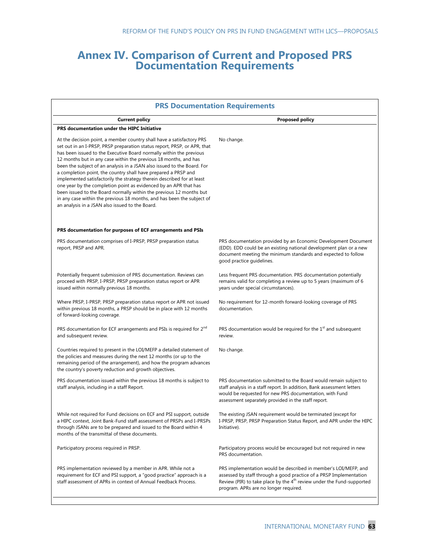### **Annex IV. Comparison of Current and Proposed PRS Documentation Requirements**

| <b>PRS Documentation Requirements</b>                                                                                                                                                                                                                                                                                                                                                                                                                                                                                                                                                                                                                                                                                                                                                       |                                                                                                                                                                                                                                                              |  |  |  |  |  |
|---------------------------------------------------------------------------------------------------------------------------------------------------------------------------------------------------------------------------------------------------------------------------------------------------------------------------------------------------------------------------------------------------------------------------------------------------------------------------------------------------------------------------------------------------------------------------------------------------------------------------------------------------------------------------------------------------------------------------------------------------------------------------------------------|--------------------------------------------------------------------------------------------------------------------------------------------------------------------------------------------------------------------------------------------------------------|--|--|--|--|--|
| <b>Current policy</b>                                                                                                                                                                                                                                                                                                                                                                                                                                                                                                                                                                                                                                                                                                                                                                       | <b>Proposed policy</b>                                                                                                                                                                                                                                       |  |  |  |  |  |
| PRS documentation under the HIPC Initiative                                                                                                                                                                                                                                                                                                                                                                                                                                                                                                                                                                                                                                                                                                                                                 |                                                                                                                                                                                                                                                              |  |  |  |  |  |
| At the decision point, a member country shall have a satisfactory PRS<br>set out in an I-PRSP, PRSP preparation status report, PRSP, or APR, that<br>has been issued to the Executive Board normally within the previous<br>12 months but in any case within the previous 18 months, and has<br>been the subject of an analysis in a JSAN also issued to the Board. For<br>a completion point, the country shall have prepared a PRSP and<br>implemented satisfactorily the strategy therein described for at least<br>one year by the completion point as evidenced by an APR that has<br>been issued to the Board normally within the previous 12 months but<br>in any case within the previous 18 months, and has been the subject of<br>an analysis in a JSAN also issued to the Board. | No change.                                                                                                                                                                                                                                                   |  |  |  |  |  |
| PRS documentation for purposes of ECF arrangements and PSIs                                                                                                                                                                                                                                                                                                                                                                                                                                                                                                                                                                                                                                                                                                                                 |                                                                                                                                                                                                                                                              |  |  |  |  |  |
| PRS documentation comprises of I-PRSP, PRSP preparation status<br>report, PRSP and APR.                                                                                                                                                                                                                                                                                                                                                                                                                                                                                                                                                                                                                                                                                                     | PRS documentation provided by an Economic Development Document<br>(EDD). EDD could be an existing national development plan or a new<br>document meeting the minimum standards and expected to follow<br>good practice guidelines.                           |  |  |  |  |  |
| Potentially frequent submission of PRS documentation. Reviews can<br>proceed with PRSP, I-PRSP, PRSP preparation status report or APR<br>issued within normally previous 18 months.                                                                                                                                                                                                                                                                                                                                                                                                                                                                                                                                                                                                         | Less frequent PRS documentation. PRS documentation potentially<br>remains valid for completing a review up to 5 years (maximum of 6<br>years under special circumstances).                                                                                   |  |  |  |  |  |
| Where PRSP, I-PRSP, PRSP preparation status report or APR not issued<br>within previous 18 months, a PRSP should be in place with 12 months<br>of forward-looking coverage.                                                                                                                                                                                                                                                                                                                                                                                                                                                                                                                                                                                                                 | No requirement for 12-month forward-looking coverage of PRS<br>documentation.                                                                                                                                                                                |  |  |  |  |  |
| PRS documentation for ECF arrangements and PSIs is required for 2 <sup>nd</sup><br>and subsequent review.                                                                                                                                                                                                                                                                                                                                                                                                                                                                                                                                                                                                                                                                                   | PRS documentation would be required for the $1st$ and subsequent<br>review.                                                                                                                                                                                  |  |  |  |  |  |
| Countries required to present in the LOI/MEFP a detailed statement of<br>the policies and measures during the next 12 months (or up to the<br>remaining period of the arrangement), and how the program advances<br>the country's poverty reduction and growth objectives.                                                                                                                                                                                                                                                                                                                                                                                                                                                                                                                  | No change.                                                                                                                                                                                                                                                   |  |  |  |  |  |
| PRS documentation issued within the previous 18 months is subject to<br>staff analysis, including in a staff Report.                                                                                                                                                                                                                                                                                                                                                                                                                                                                                                                                                                                                                                                                        | PRS documentation submitted to the Board would remain subject to<br>staff analysis in a staff report. In addition, Bank assessment letters<br>would be requested for new PRS documentation, with Fund<br>assessment separately provided in the staff report. |  |  |  |  |  |
| While not required for Fund decisions on ECF and PSI support, outside<br>a HIPC context, Joint Bank-Fund staff assessment of PRSPs and I-PRSPs<br>through JSANs are to be prepared and issued to the Board within 4<br>months of the transmittal of these documents.                                                                                                                                                                                                                                                                                                                                                                                                                                                                                                                        | The existing JSAN requirement would be terminated (except for<br>I-PRSP, PRSP, PRSP Preparation Status Report, and APR under the HIPC<br>Initiative).                                                                                                        |  |  |  |  |  |
| Participatory process required in PRSP.                                                                                                                                                                                                                                                                                                                                                                                                                                                                                                                                                                                                                                                                                                                                                     | Participatory process would be encouraged but not required in new<br>PRS documentation.                                                                                                                                                                      |  |  |  |  |  |
| PRS implementation reviewed by a member in APR. While not a<br>requirement for ECF and PSI support, a "good practice" approach is a<br>staff assessment of APRs in context of Annual Feedback Process.                                                                                                                                                                                                                                                                                                                                                                                                                                                                                                                                                                                      | PRS implementation would be described in member's LOI/MEFP, and<br>assessed by staff through a good practice of a PRSP Implementation<br>Review (PIR) to take place by the $4th$ review under the Fund-supported<br>program. APRs are no longer required.    |  |  |  |  |  |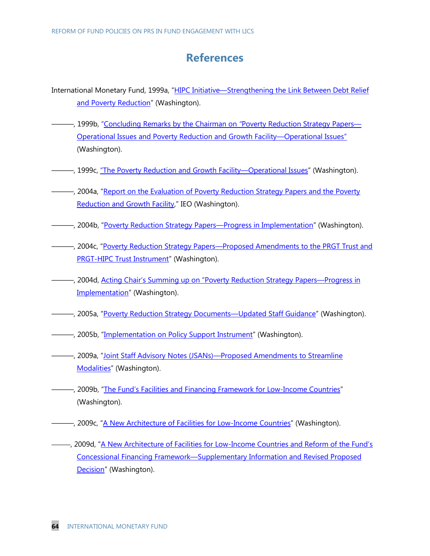### **References**

- International Monetary Fund, 1999a, "HIPC Initiative—Strengthening the Link Between Debt Relief [and Poverty Reduction](https://www.imf.org/external/np/hipc/0899/link.pdf)" (Washington).
- ———, 1999b, "[Concluding Remarks by the Chairman on](http://www.imf.org/external/np/pdr/prsp/1999/991221.htm) *"*Poverty Reduction Strategy Papers— [Operational Issues and Poverty Reduction and Growth Facility](http://www.imf.org/external/np/pdr/prsp/1999/991221.htm)—Operational Issues" (Washington).
- ——, 1999c, "[The Poverty Reduction and Growth Facility](http://www.imf.org/external/np/pdr/prsp/poverty2.htm)—Operational Issues" (Washington).
- ——, 2004a, "Report on the Evaluation of Poverty Reduction Strategy Papers and the Poverty [Reduction and Growth Facility,](http://www.imf.org/external/np/ieo/2004/prspprgf/eng/)" IEO (Washington).
- ——, 2004b, "[Poverty Reduction Strategy Papers](https://www.imf.org/external/np/prspgen/2004/092004.pdf)—Progress in Implementation" (Washington).
- ———, 2004c, "<u>Poverty Reduction Strategy Papers—Proposed Amendments to the PRGT Trust and</u> [PRGT-HIPC Trust Instrument](http://www.imf.org/external/np/prsp/2004/110404.htm)" (Washington).
- ———, 2004d, [Acting Chair's Summing up on "Poverty Reduction Strategy](http://www.imf.org/external/np/sec/pn/2004/pn04113.htm) Papers—Progress in [Implementation](http://www.imf.org/external/np/sec/pn/2004/pn04113.htm)" (Washington).
- ———, 2005a, "[Poverty Reduction Strategy Documents](http://www.imf.org/external/np/pp/eng/2005/063005.htm)—Updated Staff Guidance" (Washington).
- ———, 2005b, "[Implementation on Policy Support Instrument](http://www.imf.org/external/np/pp/eng/2005/090205.htm)" (Washington).
- ———, 2009a, "Joint Staff Advisory Notes (JSANs)—[Proposed Amendments to Streamline](http://www-wds.worldbank.org/external/default/WDSContentServer/WDSP/IB/2009/01/22/000333038_20090122011312/Rendered/PDF/471760BR0Box331y10IDA1SecM200910011.pdf)  [Modalities](http://www-wds.worldbank.org/external/default/WDSContentServer/WDSP/IB/2009/01/22/000333038_20090122011312/Rendered/PDF/471760BR0Box331y10IDA1SecM200910011.pdf)" (Washington).
- —, 2009b, "The Fund's Facilities an[d Financing Framework for Low-Income Countries](http://www.imf.org/external/np/pp/eng/2009/022509.pdf)" (Washington).
- ———, 2009с, "<u>[A New Architecture of Facilities for Low-Income Countries](http://www.imf.org/external/np/pp/eng/2009/062609.pdf)</u>" (Washington).
- ———, 2009d, "A New Architecture of Facilities for Low-[Income Countries and Reform of the Fund's](http://www.imf.org/external/np/pp/eng/2009/072009.pdf)  Concessional Financing Framework—[Supplementary Information and Revised Proposed](http://www.imf.org/external/np/pp/eng/2009/072009.pdf)  [Decision](http://www.imf.org/external/np/pp/eng/2009/072009.pdf)" (Washington).